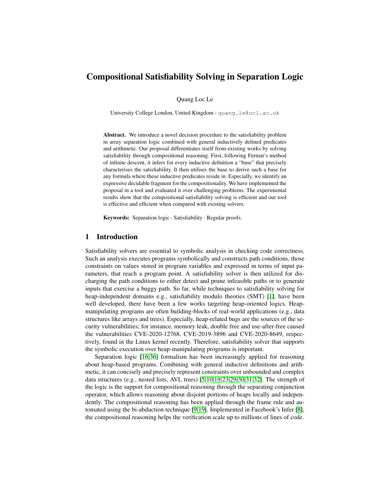# Compositional Satisfiability Solving in Separation Logic

Quang Loc Le

University College London, United Kingdom - quang.le@ucl.ac.uk

Abstract. We introduce a novel decision procedure to the satisfiability problem in array separation logic combined with general inductively defined predicates and arithmetic. Our proposal differentiates itself from existing works by solving satisfiability through compositional reasoning. First, following Fermat's method of infinite descent, it infers for every inductive definition a "base" that precisely characterises the satisfiability. It then utilises the base to derive such a base for any formula where these inductive predicates reside in. Especially, we identify an expressive decidable fragment for the compositionality. We have implemented the proposal in a tool and evaluated it over challenging problems. The experimental results show that the compositional satisfiability solving is efficient and our tool is effective and efficient when compared with existing solvers.

Keywords: Separation logic · Satisfiability · Regular proofs.

# 1 Introduction

Satisfiability solvers are essential to symbolic analysis in checking code correctness. Such an analysis executes programs symbolically and constructs path conditions, those constraints on values stored in program variables and expressed in terms of input parameters, that reach a program point. A satisfiability solver is then utilized for discharging the path conditions to either detect and prune infeasible paths or to generate inputs that exercise a buggy path. So far, while techniques to satisfiability solving for heap-independent domains e.g., satisfiability modulo theories (SMT) [\[1\]](#page-20-0), have been well developed, there have been a few works targeting heap-oriented logics. Heapmanipulating programs are often building-blocks of real-world applications (e.g., data structures like arrays and trees). Especially, heap-related bugs are the sources of the security vulnerabilities; for instance, memory leak, double free and use-after-free caused the vulnerabilities CVE-2020-12768, CVE-2019-3896 and CVE-2020-8649, respectively, found in the Linux kernel recently. Therefore, satisfiability solver that supports the symbolic execution over heap-manipulating programs is important.

Separation logic [\[16](#page-21-0)[,36\]](#page-22-0) formalism has been increasingly applied for reasoning about heap-based programs. Combining with general inductive definitions and arithmetic, it can concisely and precisely represent constraints over unbounded and complex data structures (e.g., nested lists, AVL trees) [\[5](#page-20-1)[,10](#page-20-2)[,19](#page-21-1)[,23,](#page-21-2)[29,](#page-21-3)[30,](#page-21-4)[31,](#page-22-1)[32\]](#page-22-2). The strength of the logic is the support for compositional reasoning through the separating conjunction operator, which allows reasoning about disjoint portions of heaps locally and independently. The compositional reasoning has been applied through the frame rule and automated using the bi-abduction technique [\[9,](#page-20-3)[19\]](#page-21-1). Implemented in Facebook's Infer [\[8\]](#page-20-4), the compositional reasoning helps the verification scale up to millions of lines of code.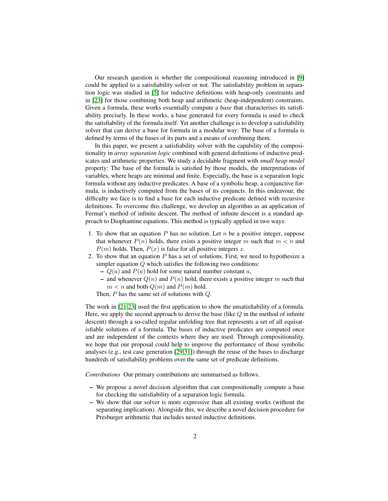Our research question is whether the compositional reasoning introduced in [\[9\]](#page-20-3) could be applied to a satisfiability solver or not. The satisfiability problem in separation logic was studied in [\[5\]](#page-20-1) for inductive definitions with heap-only constraints and in [\[23\]](#page-21-2) for those combining both heap and arithmetic (heap-independent) constraints. Given a formula, these works essentially compute a *base* that characterises its satisfiability precisely. In these works, a base generated for every formula is used to check the satisfiability of the formula itself. Yet another challenge is to develop a satisfiability solver that can derive a base for formula in a modular way: The base of a formula is defined by terms of the bases of its parts and a means of combining them.

In this paper, we present a satisfiability solver with the capability of the compositionality in *array separation logic* combined with general definitions of inductive predicates and arithmetic properties. We study a decidable fragment with *small heap model* property: The base of the formula is satisfied by those models, the interpretations of variables, where heaps are minimal and finite. Especially, the base is a separation logic formula without any inductive predicates. A base of a symbolic heap, a conjunctive formula, is inductively computed from the bases of its conjuncts. In this endeavour, the difficulty we face is to find a base for each inductive predicate defined with recursive definitions. To overcome this challenge, we develop an algorithm as an application of Fermat's method of infinite descent. The method of infinite descent is a standard approach to Diophantine equations. This method is typically applied in two ways:

- 1. To show that an equation  $P$  has no solution. Let  $n$  be a positive integer, suppose that whenever  $P(n)$  holds, there exists a positive integer m such that  $m < n$  and  $P(m)$  holds. Then,  $P(x)$  is false for all positive integers x.
- 2. To show that an equation  $P$  has a set of solutions. First, we need to hypothesize a simpler equation Q which satisfies the following two conditions:
	- $Q(a)$  and  $P(a)$  hold for some natural number constant a,
	- and whenever  $Q(n)$  and  $P(n)$  hold, there exists a positive integer m such that  $m < n$  and both  $Q(m)$  and  $P(m)$  hold.

Then, P has the same set of solutions with Q.

The work in [\[21,](#page-21-5)[23\]](#page-21-2) used the first application to show the unsatisfiability of a formula. Here, we apply the second approach to derive the base (like  $Q$  in the method of infinite descent) through a so-called regular unfolding tree that represents a set of all equisatisfiable solutions of a formula. The bases of inductive predicates are computed once and are independent of the contexts where they are used. Through compositionality, we hope that our proposal could help to improve the performance of those symbolic analyses (e.g., test case generation [\[29](#page-21-3)[,31\]](#page-22-1)) through the reuse of the bases to discharge hundreds of satisfiability problems over the same set of predicate definitions.

*Contributions* Our primary contributions are summarised as follows.

- We propose a novel decision algorithm that can compositionally compute a base for checking the satisfiability of a separation logic formula.
- We show that our solver is more expressive than all existing works (without the separating implication). Alongside this, we describe a novel decision procedure for Presburger arithmetic that includes nested inductive definitions.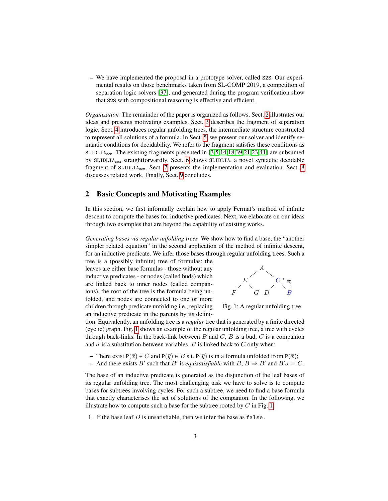– We have implemented the proposal in a prototype solver, called S2S. Our experimental results on those benchmarks taken from SL-COMP 2019, a competition of separation logic solvers [\[37\]](#page-22-3), and generated during the program verification show that S2S with compositional reasoning is effective and efficient.

*Organization* The remainder of the paper is organized as follows. Sect. [2](#page-2-0) illustrates our ideas and presents motivating examples. Sect. [3](#page-5-0) describes the fragment of separation logic. Sect. [4](#page-7-0) introduces regular unfolding trees, the intermediate structure constructed to represent all solutions of a formula. In Sect. [5,](#page-10-0) we present our solver and identify semantic conditions for decidability. We refer to the fragment satisfies these conditions as SLIDLIAsem. The existing fragments presented in [\[3,](#page-20-5)[5,](#page-20-1)[14,](#page-20-6)[18](#page-21-6)[,39](#page-22-4)[,21](#page-21-5)[,23](#page-21-2)[,41\]](#page-22-5) are subsumed by SLIDLIAsem straightforwardly. Sect. [6](#page-14-0) shows SLIDLIA, a novel syntactic decidable fragment of SLIDLIAsem. Sect. [7](#page-15-0) presents the implementation and evaluation. Sect. [8](#page-18-0) discusses related work. Finally, Sect. [9](#page-19-0) concludes.

# <span id="page-2-0"></span>2 Basic Concepts and Motivating Examples

In this section, we first informally explain how to apply Fermat's method of infinite descent to compute the bases for inductive predicates. Next, we elaborate on our ideas through two examples that are beyond the capability of existing works.

*Generating bases via regular unfolding trees* We show how to find a base, the "another simpler related equation" in the second application of the method of infinite descent, for an inductive predicate. We infer those bases through regular unfolding trees. Such a

tree is a (possibly infinite) tree of formulas: the leaves are either base formulas - those without any inductive predicates - or nodes (called buds) which are linked back to inner nodes (called companions), the root of the tree is the formula being unfolded, and nodes are connected to one or more children through predicate unfolding i.e., replacing an inductive predicate in the parents by its defini-

<span id="page-2-1"></span>

Fig. 1: A regular unfolding tree

tion. Equivalently, an unfolding tree is a *regular* tree that is generated by a finite directed (cyclic) graph. Fig. [1](#page-2-1) shows an example of the regular unfolding tree, a tree with cycles through back-links. In the back-link between  $B$  and  $C$ ,  $B$  is a bud,  $C$  is a companion and  $\sigma$  is a substitution between variables. B is linked back to C only when:

- There exist  $P(\bar{x}) \in C$  and  $P(\bar{y}) \in B$  s.t.  $P(\bar{y})$  is in a formula unfolded from  $P(\bar{x})$ ;
- And there exists B' such that B' is *equisatisfiable* with B,  $B \Rightarrow B'$  and  $B'\sigma \equiv C$ .

The base of an inductive predicate is generated as the disjunction of the leaf bases of its regular unfolding tree. The most challenging task we have to solve is to compute bases for subtrees involving cycles. For such a subtree, we need to find a base formula that exactly characterises the set of solutions of the companion. In the following, we illustrate how to compute such a base for the subtree rooted by  $C$  in Fig. [1.](#page-2-1)

1. If the base leaf  $D$  is unsatisfiable, then we infer the base as false.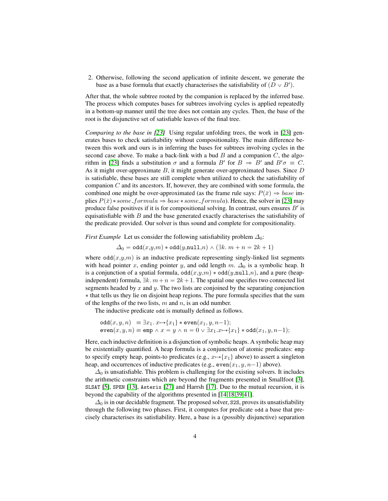2. Otherwise, following the second application of infinite descent, we generate the base as a base formula that exactly characterises the satisfiability of  $(D \vee B')$ .

After that, the whole subtree rooted by the companion is replaced by the inferred base. The process which computes bases for subtrees involving cycles is applied repeatedly in a bottom-up manner until the tree does not contain any cycles. Then, the base of the root is the disjunctive set of satisfiable leaves of the final tree.

*Comparing to the base in [\[23\]](#page-21-2)* Using regular unfolding trees, the work in [\[23\]](#page-21-2) generates bases to check satisfiability without compositionality. The main difference between this work and ours is in inferring the bases for subtrees involving cycles in the second case above. To make a back-link with a bud  $B$  and a companion  $C$ , the algo-rithm in [\[23\]](#page-21-2) finds a substitution  $\sigma$  and a formula B' for  $B \Rightarrow B'$  and  $B'\sigma \equiv C$ . As it might over-approximate  $B$ , it might generate over-approximated bases. Since  $D$ is satisfiable, these bases are still complete when utilized to check the satisfiability of companion  $C$  and its ancestors. If, however, they are combined with some formula, the combined one might be over-approximated (as the frame rule says:  $P(\bar{x}) \Rightarrow base$  implies  $P(\bar{x})$  \* some formula  $\Rightarrow$  base \* some formula). Hence, the solver in [\[23\]](#page-21-2) may produce false positives if it is for compositional solving. In contrast, ours ensures  $B'$  is equisatisfiable with  $B$  and the base generated exactly characterises the satisfiability of the predicate provided. Our solver is thus sound and complete for compositionality.

*First Example* Let us consider the following satisfiability problem  $\Delta_0$ :

 $\Delta_0 = \text{odd}(x,y,m) * \text{odd}(y,\text{null},n) \wedge (\exists k. m + n = 2k + 1)$ 

where  $odd(x,y,m)$  is an inductive predicate representing singly-linked list segments with head pointer x, ending pointer y, and odd length m.  $\Delta_0$  is a symbolic heap. It is a conjunction of a spatial formula,  $\text{odd}(x,y,m) * \text{odd}(y,\text{null},n)$ , and a pure (heapindependent) formula,  $\exists k. m+n = 2k + 1$ . The spatial one specifies two connected list segments headed by  $x$  and  $y$ . The two lists are conjoined by the separating conjunction ˚ that tells us they lie on disjoint heap regions. The pure formula specifies that the sum of the lengths of the two lists,  $m$  and  $n$ , is an odd number.

The inductive predicate odd is mutually defined as follows.

$$
\begin{array}{l} \text{odd}(x,y,n) \equiv \exists x_1.\ x \mapsto \{x_1\} * \text{even}(x_1,y,n-1);\\ \text{even}(x,y,n) \equiv \text{emp} \wedge x = y \wedge n = 0 \vee \exists x_1.x \mapsto \{x_1\} * \text{odd}(x_1,y,n-1); \end{array}
$$

Here, each inductive definition is a disjunction of symbolic heaps. A symbolic heap may be existentially quantified. A heap formula is a conjunction of atomic predicates: emp to specify empty heap, points-to predicates (e.g.,  $x \mapsto \{x_1\}$  above) to assert a singleton heap, and occurrences of inductive predicates (e.g.,  $even(x_1, y, n-1)$ ) above).

 $\Delta_0$  is unsatisfiable. This problem is challenging for the existing solvers. It includes the arithmetic constraints which are beyond the fragments presented in Smallfoot [\[3\]](#page-20-5), SLSAT [\[5\]](#page-20-1), SPEN [\[13\]](#page-20-7), Asterix [\[27\]](#page-21-7) and Harrsh [\[17\]](#page-21-8). Due to the mutual recursion, it is beyond the capability of the algorithms presented in [\[14,](#page-20-6)[18,](#page-21-6)[39,](#page-22-4)[41\]](#page-22-5).

 $\Delta_0$  is in our decidable fragment. The proposed solver, S2S, proves its unsatisfiability through the following two phases. First, it computes for predicate odd a base that precisely characterises its satisfiability. Here, a base is a (possibly disjunctive) separation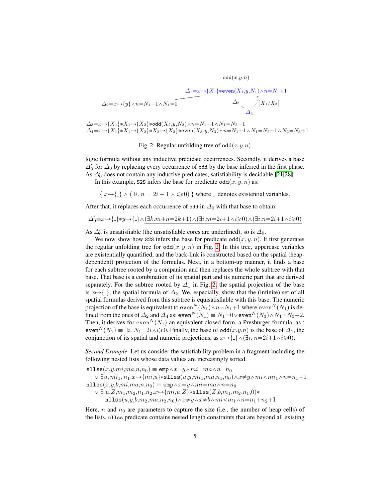<span id="page-4-0"></span>odd(x,y,n)  
\n
$$
\Delta_1 = x \mapsto \{X_1\} * \text{even}(X_1, y, N_1) \wedge n = N_1 + 1
$$
\n
$$
\Delta_2 = x \mapsto \{y\} \wedge n = N_1 + 1 \wedge N_1 = 0
$$
\n
$$
\Delta_3 \qquad \Delta_4
$$
\n
$$
\Delta_4
$$

 $\varDelta_3\!=\!x\!\!\mapsto\!\!\{X_1\}\!\ast\!X_1\!\!\mapsto\!\!\{X_2\}\!\ast\!{\rm odd}(X_2,\!y,\!N_2)\!\wedge\!n\!=\!N_1\!+\!1\!\wedge\!N_1\!=\!N_2\!+\!1$  $\Delta_4 = x \mapsto {X_1} * X_1 \mapsto {X_2} * X_2 \mapsto {X_3} * \text{even}(X_3, y, N_3) \wedge n = N_1 + 1 \wedge N_1 = N_2 + 1 \wedge N_2 = N_3 + 1$ 

Fig. 2: Regular unfolding tree of  $odd(x,y,n)$ 

logic formula without any inductive predicate occurrences. Secondly, it derives a base  $\Delta'_0$  for  $\Delta_0$  by replacing every occurrence of odd by the base inferred in the first phase. As  $\Delta'_0$  does not contain any inductive predicates, satisfiability is decidable [\[21](#page-21-5)[,28\]](#page-21-9).

In this example, S2S infers the base for predicate odd $(x, y, n)$  as:

 $\{x \mapsto \{\}\wedge (\exists i \cdot n = 2i + 1 \wedge i \geq 0)\}$  where  $\Box$  denotes existential variables.

After that, it replaces each occurrence of odd in  $\Delta_0$  with that base to obtain:

$$
\varDelta_0' \!\!\equiv\!\! x \!\mapsto\!\! \{\text{-}\!\!\!\} \!\ast\! y \!\mapsto\!\! \{\text{-}\!\!\!\} \!\wedge \!\!\!\! \big( \textstyle\frac{\!-\! 1k.m \!+\! n \!=\! 2k \!+\! 1 \big) \! \wedge \! (\exists i.m \!=\! 2i \!+\! 1 \! \wedge \! i \!\geqslant\! 0 \big) \! \wedge \! (\exists i.n \!=\! 2i \!+\! 1 \! \wedge \! i \!\geqslant\! 0 \!)}{}
$$

As  $\Delta'_0$  is unsatisfiable (the unsatisfiable cores are underlined), so is  $\Delta_0$ .

We now show how S2S infers the base for predicate odd $(x, y, n)$ . It first generates the regular unfolding tree for  $\text{odd}(x, y, n)$  in Fig. [2.](#page-4-0) In this tree, uppercase variables are existentially quantified, and the back-link is constructed based on the spatial (heapdependent) projection of the formulas. Next, in a bottom-up manner, it finds a base for each subtree rooted by a companion and then replaces the whole subtree with that base. That base is a combination of its spatial part and its numeric part that are derived separately. For the subtree rooted by  $\Delta_1$  in Fig. [2,](#page-4-0) the spatial projection of the base is  $x \mapsto \{\cdot\}$ , the spatial formula of  $\Delta_2$ . We, especially, show that the (infinite) set of all spatial formulas derived from this subtree is equisatisfiable with this base. The numeric projection of the base is equivalent to  $\mathsf{even}^N(N_1)\wedge n=N_1+1$  where  $\mathsf{even}^N(N_1)$  is defined from the ones of  $\Delta_2$  and  $\Delta_4$  as: even<sup>N</sup>(N<sub>1</sub>) = N<sub>1</sub>=0  $\vee$  even<sup>N</sup>(N<sub>3</sub>)  $\wedge N_1 = N_3 + 2$ . Then, it derives for even<sup>N</sup>( $N_1$ ) an equivalent closed form, a Presburger formula, as : even<sup>N</sup>(N<sub>1</sub>)  $\equiv \exists i. N_1 = 2i \land i \geq 0$ . Finally, the base of odd $(x,y,n)$  is the base of  $\Delta_1$ , the conjunction of its spatial and numeric projections, as  $x \mapsto \{\frac{1}{x}\} \wedge (\exists i. \; n = 2i+1 \wedge i \geq 0).$ 

*Second Example* Let us consider the satisfiability problem in a fragment including the following nested lists whose data values are increasingly sorted.

 $\texttt{sllss}(x,y,mi,ma,n,n_0) \equiv \texttt{emp} \land x = y \land mi = ma \land n = n_0$  $\lor \exists u, mi_1, n_1.x \mapsto \{mi, u\} * \mathtt{sllss}(u, y, mi_1,ma,n_1,n_0) \land x \neq y \land mi < mi_1 \land n = n_1+1$  $\texttt{nllss}(x,y,b,mi,ma,n,n_0) \equiv \texttt{emp} \land x = y \land mi = ma \land n = n_0$  $v \in [u, Z, m_1, m_2, n_1, n_2. x \mapsto \{mi, u, Z\} * \textsf{sllss}(Z, b, m_1, m_2, n_1, 0) *$ nllss $(u,y,b,m_2,ma,n_2,n_0) \land x \neq y \land x \neq b \land mi < m_1 \land n = n_1+n_2+1$ 

Here, n and  $n_0$  are parameters to capture the size (i.e., the number of heap cells) of the lists. nllss predicate contains nested length constraints that are beyond all existing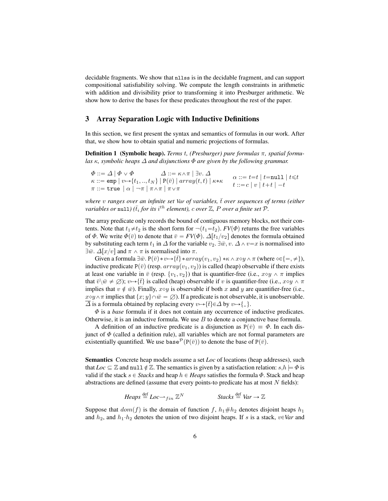decidable fragments. We show that nllss is in the decidable fragment, and can support compositional satisfiability solving. We compute the length constraints in arithmetic with addition and divisibility prior to transforming it into Presburger arithmetic. We show how to derive the bases for these predicates throughout the rest of the paper.

# <span id="page-5-0"></span>3 Array Separation Logic with Inductive Definitions

In this section, we first present the syntax and semantics of formulas in our work. After that, we show how to obtain spatial and numeric projections of formulas.

Definition 1 (Symbolic heap). *Terms* t*, (Presburger) pure formulas* π*, spatial formulas* κ*, symbolic heaps* ∆ *and disjunctions* Φ *are given by the following grammar.*

 $\varPhi ::= \varDelta \, | \, \varPhi \vee \varPhi \qquad \qquad \varDelta ::= \kappa \wedge \pi \, | \, \exists v. \ \varDelta$  $\kappa ::= \exp | v \mapsto t$ <br>  $\kappa ::= \exp | v \mapsto \{t_1, ..., t_N\}| P(\bar{v}) | array(t, t) | \kappa * \kappa$ <br>  $\kappa ::= \exp | v \mapsto t_1 + t_2 + t_3$  $\pi ::=$  true  $| \alpha | \neg \pi | \pi \wedge \pi | \pi \vee \pi$  $t ::= c \mid v \mid t+t \mid -t$ 

*where v* ranges over an infinite set Var of variables,  $\bar{t}$  over sequences of terms (either  $\alpha$ *variables or* null) ( $\bar{t}_i$  for its  $i^{th}$  element), c over  $\mathbb{Z}$ , P over a finite set P.

The array predicate only records the bound of contiguous memory blocks, not their contents. Note that  $t_1 \neq t_2$  is the short form for  $\neg(t_1=t_2)$ .  $FV(\Phi)$  returns the free variables of  $\Phi$ . We write  $\Phi(\bar{v})$  to denote that  $\bar{v} = FV(\Phi)$ .  $\Delta[t_1/v_2]$  denotes the formula obtained by substituting each term  $t_1$  in  $\Delta$  for the variable  $v_2$ .  $\exists \bar{w}, v$ .  $\Delta \wedge v = x$  is normalised into  $\exists \bar{w}$ .  $\Delta[x/v]$  and  $\pi \wedge \pi$  is normalised into  $\pi$ .

Given a formula  $\exists \bar{w}$ .  $P(\bar{v}) * v \mapsto {\{\!\!\{\}}\} * array(v_1, v_2) * \kappa \wedge x \diamond y \wedge \pi$  (where  $\diamond \in \{\equiv, \neq\}$ ), inductive predicate  $P(\bar{v})$  (resp.  $array(v_1, v_2)$ ) is called (heap) observable if there exists at least one variable in  $\bar{v}$  (resp.  $\{v_1, v_2\}$ ) that is quantifier-free (i.e.,  $x \diamond y \wedge \pi$  implies that  $\bar{v}\backslash \bar{w} \neq \emptyset$ );  $v \mapsto \{\bar{t}\}$  is called (heap) observable if v is quantifier-free (i.e.,  $x \circ y \wedge \pi$ implies that  $v \notin \bar{w}$ ). Finally,  $x \diamond y$  is observable if both x and y are quantifier-free (i.e.,  $x \circ y \wedge \pi$  implies that  $\{x; y\} \cap \bar{w} = \emptyset$ . If a predicate is not observable, it is unobservable.  $\Delta$  is a formula obtained by replacing every  $v \mapsto \{\bar{t}\} \in \Delta$  by  $v \mapsto \{\bar{t}\}\$ .

Φ is a *base* formula if it does not contain any occurrence of inductive predicates. Otherwise, it is an inductive formula. We use  $B$  to denote a conjunctive base formula.

A definition of an inductive predicate is a disjunction as  $P(\bar{v}) \equiv \Phi$ . In each disjunct of  $\Phi$  (called a definition rule), all variables which are not formal parameters are existentially quantified. We use base  $\mathcal{P}(P(\bar{v}))$  to denote the base of P( $\bar{v}$ ).

Semantics Concrete heap models assume a set *Loc* of locations (heap addresses), such that  $Loc \subseteq \mathbb{Z}$  and null  $\notin \mathbb{Z}$ . The semantics is given by a satisfaction relation:  $s,h \models \Phi$  is valid if the stack  $s \in Stacks$  and heap  $h \in Heaps$  satisfies the formula  $\Phi$ . Stack and heap abstractions are defined (assume that every points-to predicate has at most  $N$  fields):

$$
Heaps \stackrel{\text{def}}{=} Loc \rightarrow_{fin} \mathbb{Z}^N
$$
 *Stacks*  $\stackrel{\text{def}}{=} Var \rightarrow \mathbb{Z}$ 

Suppose that  $dom(f)$  is the domain of function f,  $h_1 \# h_2$  denotes disjoint heaps  $h_1$ and  $h_2$ , and  $h_1 \cdot h_2$  denotes the union of two disjoint heaps. If s is a stack, veVar and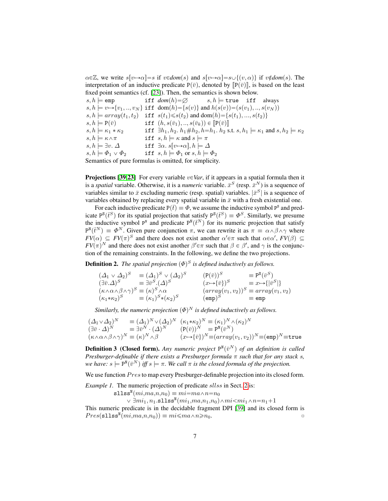$\alpha \in \mathbb{Z}$ , we write  $s[v \mapsto \alpha] = s$  if  $v \in dom(s)$  and  $s[v \mapsto \alpha] = s \cup \{(v, \alpha)\}\$ if  $v \notin dom(s)$ . The interpretation of an inductive predicate  $P(\bar{v})$ , denoted by  $\mathbb{P}(\bar{v})$ , is based on the least fixed point semantics (cf. [\[23\]](#page-21-2)). Then, the semantics is shown below.

 $s, h \models \text{emp}$  iff  $dom(h) = \emptyset$  s, h  $\models$  true iff always  $s, h \models v \mapsto \{v_1, ..., v_N\}$  iff dom $(h) = \{s(v)\}$  and  $h(s(v)) = (s(v_1), ..., s(v_N))$  $s, h \models array(t_1, t_2)$  iff  $s(t_1) \leq s(t_2)$  and dom $(h) = \{s(t_1), ..., s(t_2)\}\$  $s, h \models P(\bar{v})$  iff  $(h, s(\bar{v}_1), ..., s(\bar{v}_k)) \in [\![P(\bar{v})]\!]$ <br>  $s, h \models \kappa_1 * \kappa_2$  iff  $\exists h_1, h_2, h_1 \# h_2, h = h_1 \cdot h_2$  s iff  $\exists h_1, h_2, h_1 \# h_2, h=h_1, h_2$  s.t.  $s, h_1 \models \kappa_1$  and  $s, h_2 \models \kappa_2$  $s, h \models \kappa \land \pi$  iff  $s, h \models \kappa$  and  $s \models \pi$ <br>  $s, h \models \exists v. \Delta$  iff  $\exists \alpha. s [v \rightarrow \alpha], h \models \Delta$  $s, h \models \exists v. \ \Delta$  iff  $\exists \alpha. s[v \rightarrow \alpha], h \models \Delta$ <br>  $s, h \models \Phi_1 \lor \Phi_2$  iff  $s, h \models \Phi_1$  or  $s, h \models \Phi_2$ iff  $s, h \models \Phi_1$  or  $s, h \models \Phi_2$ Semantics of pure formulas is omitted, for simplicity.

**Projections [\[39,](#page-22-4)[23\]](#page-21-2)** For every variable  $v \in Var$ , if it appears in a spatial formula then it is a *spatial* variable. Otherwise, it is a *numeric* variable.  $\bar{x}^S$  (resp.  $\bar{x}^N$ ) is a sequence of variables similar to  $\bar{x}$  excluding numeric (resp. spatial) variables.  $|\bar{x}^S|$  is a sequence of variables obtained by replacing every spatial variable in  $\bar{x}$  with a fresh existential one.

For each inductive predicate  $P(\bar{t}) \equiv \Phi$ , we assume the inductive symbol  $P^s$  and predicate  $P^{S}(\bar{t}^{S})$  for its spatial projection that satisfy  $P^{S}(\bar{t}^{S}) \equiv \Phi^{S}$ . Similarly, we presume the inductive symbol P<sup>N</sup> and predicate  $P^{N}(\bar{t}^{N})$  for its numeric projection that satisfy  $P^{N}(\bar{t}^{N}) \equiv \Phi^{N}$ . Given pure conjunction  $\pi$ , we can rewrite it as  $\pi \equiv \alpha \wedge \beta \wedge \gamma$  where  $FV(\alpha) \subseteq FV(\pi)^S$  and there does not exist another  $\alpha' \in \pi$  such that  $\alpha \in \alpha'$ ,  $FV(\beta) \subseteq$ *FV*( $\pi$ )<sup>*N*</sup> and there does not exist another  $\beta' \in \pi$  such that  $\beta \in \beta'$ , and  $\gamma$  is the conjunction of the remaining constraints. In the following, we define the two projections.

**Definition 2.** The spatial projection  $(\Phi)^S$  is defined inductively as follows.

| $(\varDelta_1 \vee \varDelta_2)^S$                                                    | $\equiv (\Delta_1)^S \vee (\Delta_2)^S$ | $(P(\bar{v}))^S$                             | $\equiv P^{S}(\bar{v}^{S})$                |
|---------------------------------------------------------------------------------------|-----------------------------------------|----------------------------------------------|--------------------------------------------|
| $(\exists \bar{v}.\Delta)^S$                                                          | $\equiv \exists \bar{v}^S. (\Delta)^S$  | $(x \mapsto {\overline{v}})^S$               | $\equiv x \mapsto {\vert \bar{v}^S \vert}$ |
| $(\kappa \wedge \alpha \wedge \beta \wedge \gamma)^S \equiv (\kappa)^S \wedge \alpha$ |                                         | $(array(v_1, v_2))^S \equiv array(v_1, v_2)$ |                                            |
| $(\kappa_1 * \kappa_2)^S$                                                             | $\equiv (\kappa_1)^S*(\kappa_2)^S$      | $(\texttt{emp})^S$                           | $\equiv$ emp                               |

*Similarly, the numeric projection*  $(\Phi)^N$  *is defined inductively as follows.* 

$$
\begin{array}{lll}\n(\Delta_1 \vee \Delta_2)^N & \equiv (\Delta_1)^N \vee (\Delta_2)^N & (\kappa_1 * \kappa_2)^N \equiv (\kappa_1)^N \wedge (\kappa_2)^N \\
(\exists \bar{v} \cdot \Delta)^N & \equiv \exists \bar{v}^N \cdot (\Delta)^N & (\mathbf{P}(\bar{v}))^N \equiv \mathbf{P}^{\mathbf{N}}(\bar{v}^N) \\
(\kappa \wedge \alpha \wedge \beta \wedge \gamma)^N \equiv (\kappa)^N \wedge \beta & (\boldsymbol{x} \mapsto \{\bar{v}\})^N \equiv (\operatorname{array}(v_1, v_2))^N \equiv (\operatorname{emp})^N \equiv \operatorname{true}\n\end{array}
$$

**Definition 3 (Closed form).** Any numeric project  $P^N(\bar{v}^N)$  of an definition is called *Presburger-definable if there exists a Presburger formula* π *such that for any stack* s*,* we have:  $s \models P^{\text{N}}(\bar{v}^N)$  iff  $s \models \pi$ . We call  $\pi$  is the closed formula of the projection.

We use function  $Pres$  to map every Presburger-definable projection into its closed form.

*Example 1.* The numeric projection of predicate *sllss* in Sect. [2](#page-2-0) is:  $\mathtt{sllss}^{\mathtt{N}}(mi,ma,n,n_0)\equiv mi{=}ma{\scriptstyle\,\wedge\,}n{=}n_0$  $\vee \exists mi_1, n_1.\mathtt{sllss}^{\mathtt{N}}(mi_1,ma,n_1,n_0)\wedge mi$ 

This numeric predicate is in the decidable fragment DPI [\[39\]](#page-22-4) and its closed form is  $Pres({\tt sliss}^{\tt N}(mi,ma,n,n_0))\equiv mi{\leq}ma \land n{\geq}n_0.$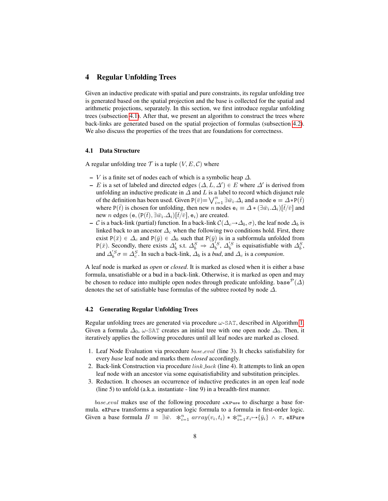# <span id="page-7-0"></span>4 Regular Unfolding Trees

Given an inductive predicate with spatial and pure constraints, its regular unfolding tree is generated based on the spatial projection and the base is collected for the spatial and arithmetic projections, separately. In this section, we first introduce regular unfolding trees (subsection [4.1\)](#page-7-1). After that, we present an algorithm to construct the trees where back-links are generated based on the spatial projection of formulas (subsection [4.2\)](#page-7-2). We also discuss the properties of the trees that are foundations for correctness.

### <span id="page-7-1"></span>4.1 Data Structure

A regular unfolding tree  $\mathcal T$  is a tuple  $(V, E, C)$  where

- V is a finite set of nodes each of which is a symbolic heap  $\Delta$ .
- $E$  is a set of labeled and directed edges  $(∆, L, ∆') ∈ E$  where  $∆'$  is derived from unfolding an inductive predicate in  $\Delta$  and  $L$  is a label to record which disjunct rule unfolding an inductive predicate in  $\Delta$  and L is a label to record which disjunct rule<br>of the definition has been used. Given  $P(\bar{v}) \equiv \bigvee_{i=1}^{n} \exists \bar{w}_i \cdot \Delta_i$  and a node  $e \equiv \Delta * P(\bar{t})$ where P( $\bar{t}$ ) is chosen for unfolding, then new n nodes  $e_i \equiv \Delta * (\exists \bar{w}_i \cdot \Delta_i)[\bar{t}/\bar{v}]$  and new *n* edges (e,  $(P(\bar{t}), \exists \bar{w}_i \cdot \Delta_i)[\bar{t}/\bar{v}], e_i)$  are created.
- C is a back-link (partial) function. In a back-link  $\mathcal{C}(\Delta_c \rightarrow \Delta_b, \sigma)$ , the leaf node  $\Delta_b$  is linked back to an ancestor  $\Delta_c$  when the following two conditions hold. First, there exist  $P(\bar{x}) \in \Delta_c$  and  $P(\bar{y}) \in \Delta_b$  such that  $P(\bar{y})$  is in a subformula unfolded from P( $\bar{x}$ ). Secondly, there exists  $\Delta_b'$  s.t.  $\Delta_b^S \Rightarrow \tilde{\Delta}_b^{S}$ ,  $\Delta_b^{S}$  is equisatisfiable with  $\Delta_b^S$ , and  $\Delta_b^{S} \sigma \equiv \Delta_c^{S}$ . In such a back-link,  $\Delta_b$  is a *bud*, and  $\Delta_c$  is a *companion*.

A leaf node is marked as *open* or *closed*. It is marked as closed when it is either a base formula, unsatisfiable or a bud in a back-link. Otherwise, it is marked as open and may be chosen to reduce into multiple open nodes through predicate unfolding. base<sup> $P(\Delta)$ </sup> denotes the set of satisfiable base formulas of the subtree rooted by node  $\Delta$ .

### <span id="page-7-2"></span>4.2 Generating Regular Unfolding Trees

Regular unfolding trees are generated via procedure  $\omega$ -SAT, described in Algorithm [1.](#page-8-0) Given a formula  $\Delta_0$ ,  $\omega$ -SAT creates an initial tree with one open node  $\Delta_0$ . Then, it iteratively applies the following procedures until all leaf nodes are marked as closed.

- 1. Leaf Node Evaluation via procedure base eval (line 3). It checks satisfiability for every *base* leaf node and marks them *closed* accordingly.
- 2. Back-link Construction via procedure *link\_back* (line 4). It attempts to link an open leaf node with an ancestor via some equisatisfiability and substitution principles.
- 3. Reduction. It chooses an occurrence of inductive predicates in an open leaf node (line 5) to unfold (a.k.a. instantiate - line 9) in a breadth-first manner.

base eval makes use of the following procedure eXPure to discharge a base formula. eXPure transforms a separation logic formula to a formula in first-order logic. Given a base formula  $B \equiv \exists \bar{w}$ .  $*_{i=1}^n \operatorname{array}(v_i, t_i) * *_{i=1}^m x_i \mapsto {\overline{y_i}} \wedge \pi$ , eXPure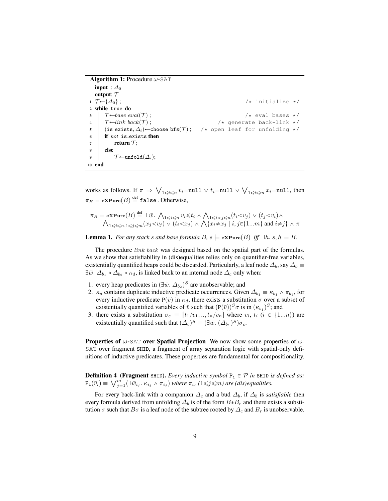Algorithm 1: Procedure  $\omega$ -SAT

input :  $\Delta_0$ output:  $\mathcal T$  $1 \mathcal{T} \leftarrow \{\Delta_0\};$  /\* initialize \*/ <sup>2</sup> while true do 3  $\begin{array}{c|c|c|c|c|c} 3 & \mathcal{T} \leftarrow base\_eval(\mathcal{T}) \, ; & & \nearrow \star \, \text{ eval bases } \star / \\ \hline \mathcal{T} \leftarrow link\_back(\mathcal{T}) \, ; & & \nearrow \star \, \text{ generate back-link } \star / \\ \end{array}$ 4  $\mathcal{T} \leftarrow link\_back(\mathcal{T})$ ;  $\prime *$  generate back-link  $\ast /$ <br>5 (is\_exists,  $\Delta_i$ ) $\leftarrow$  choose\_bfs( $\mathcal{T}$ );  $\prime *$  open leaf for unfolding  $\ast /$ 5 **find**  $\{is\_exists, \Delta_i\} \leftarrow \text{choose\_bfs}(\mathcal{T})$ ; /\* open leaf for unfolding \*/ <sup>6</sup> if *not* is exists then  $7 \mid \cdot \cdot \mid \cdot$  return  $\tau$ ; <sup>8</sup> else 9 | |  $\mathcal{T} \leftarrow$ unfold $(\Delta_i);$ <sup>10</sup> end

<span id="page-8-0"></span>works as follows. If  $\pi \Rightarrow$  $_{1\leqslant i\leqslant n}\,v_i\text{=null}\,\vee\,t_i\text{=null}\,\vee\,$  $1 \le i \le m$   $x_i$ =null, then  $\pi_B = \mathbf{exPure}(B) \stackrel{\mathsf{def}}{=} \mathtt{false}$  . Otherwise,

$$
\pi_B = \text{expure}(B) \stackrel{\text{def}}{=} \exists \ \bar{w}. \ \bigwedge_{1 \leq i \leq n} v_i \leq t_i \land \bigwedge_{1 \leq i < j \leq n} (t_i < v_j) \lor (t_j < v_i) \land \bigwedge_{1 \leq i \leq n, 1 \leq j \leq m} (x_j < v_j) \lor (t_i < x_j) \land \bigwedge \{x_i \neq x_j \mid i, j \in \{1...m\} \text{ and } i \neq j\} \land \pi
$$

**Lemma 1.** For any stack s and base formula B,  $s \models \text{expure}(B)$  iff  $\exists h. s, h \models B$ .

The procedure *link\_back* was designed based on the spatial part of the formulas. As we show that satisfiability in (dis)equalities relies only on quantifier-free variables, existentially quantified heaps could be discarded. Particularly, a leaf node  $\Delta_b$ , say  $\Delta_b \equiv$  $\exists \bar{w}$ .  $\Delta_{b_1} * \Delta_{b_2} * \kappa_d$ , is linked back to an internal node  $\Delta_c$  only when:

- 1. every heap predicates in  $(\exists \bar{w}. \Delta_{b_2})^S$  are unobservable; and
- 2.  $\kappa_d$  contains duplicate inductive predicate occurrences. Given  $\Delta_{b_1} \equiv \kappa_{b_1} \wedge \pi_{b_1}$ , for every inductive predicate  $P(\bar{v})$  in  $\kappa_d$ , there exists a substitution  $\sigma$  over a subset of existentially quantified variables of  $\bar{v}$  such that  $(P(\bar{v}))^{S_{\sigma}}$  is in  $(\kappa_{b_1})^{S}$ ; and
- 3. there exists a substitution  $\sigma_c \equiv [t_1/v_1, ..., t_n/v_n]$  where  $v_i, t_i$  ( $i \in \{1...n\}$ ) are existentially quantified such that  $(\Delta_c)^S \equiv (\exists \bar{w}.~ (\Delta_{b_1})^S)\sigma_c$ .

**Properties of**  $\omega$ **-SAT over Spatial Projection** We now show some properties of  $\omega$ -SAT over fragment SHID, a fragment of array separation logic with spatial-only definitions of inductive predicates. These properties are fundamental for compositionality.

**Definition 4** (**Fragment** SHID). *Every inductive symbol*  $P_i \in \mathcal{P}$  *in* SHID *is defined as:* **Definition 4 (Fragment** SHID). Every inductive symbol  $P_i \in \mathcal{P}$  in SHID i.<br> $P_i(\bar{v}_i) \equiv \bigvee_{j=1}^m (\exists \bar{w}_{i_j} \cdot \kappa_{i_j} \wedge \pi_{i_j})$  where  $\pi_{i_j}$  ( $1 \leq j \leq m$ ) are (dis)equalities.

For every back-link with a companion  $\Delta_c$  and a bud  $\Delta_b$ , if  $\Delta_b$  is *satisfiable* then every formula derived from unfolding  $\Delta_b$  is of the form  $B * B_r$  and there exists a substitution  $\sigma$  such that  $B\sigma$  is a leaf node of the subtree rooted by  $\Delta_c$  and  $B_r$  is unobservable.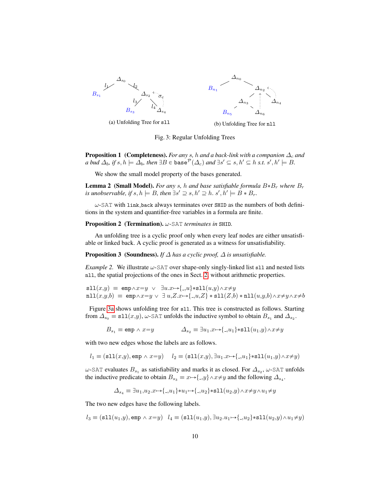<span id="page-9-0"></span>



<span id="page-9-1"></span>(b) Unfolding Tree for nll

Fig. 3: Regular Unfolding Trees

**Proposition 1** (Completeness). *For any s, h and a back-link with a companion*  $\Delta_c$  *and*  $a$  bud  $\varDelta_b$ , if  $s, h \models \varDelta_b$ , then  $\exists B \in \texttt{base}^\mathcal{P}(\varDelta_c)$  and  $\exists s' \subseteq s, h' \subseteq h$  s.t.  $s', h' \models B$ .

We show the small model property of the bases generated.

**Lemma 2 (Small Model).** For any s, h and base satisfiable formula  $B*B_r$  where  $B_r$ *is unobservable, if*  $s, h \models B$ *, then*  $\exists s' \supseteq s, h' \supseteq h$ *.*  $s', h' \models B * B_r$ *.* 

 $\omega$ -SAT with link back always terminates over SHID as the numbers of both definitions in the system and quantifier-free variables in a formula are finite.

Proposition 2 (Termination). ω*-*SAT *terminates in* SHID*.*

An unfolding tree is a cyclic proof only when every leaf nodes are either unsatisfiable or linked back. A cyclic proof is generated as a witness for unsatisfiability.

**Proposition 3** (Soundness). *If*  $\Delta$  *has a cyclic proof,*  $\Delta$  *is unsatisfiable.* 

*Example 2.* We illustrate  $\omega$ -SAT over shape-only singly-linked list s11 and nested lists nll, the spatial projections of the ones in Sect. [2,](#page-2-0) without arithmetic properties.

$$
\begin{array}{lcl}\texttt{sll}(x,y) & \equiv & \texttt{emp} \land x = y & \lor & \exists u . x \mapsto \{., u\} * \texttt{sll}(u,y) \land x \neq y \\ \texttt{nll}(x,y,b) & \equiv & \texttt{emp} \land x = y & \lor & \exists~ u . Z . x \mapsto \{., u . Z\} * \texttt{sll}(Z,b) * \texttt{nll}(u,y,b) \land x \neq y \land x \neq b\end{array}
$$

Figure [3a](#page-9-0) shows unfolding tree for sll. This tree is constructed as follows. Starting from  $\Delta_{s_0} \equiv \text{sll}(x,y)$ ,  $\omega$ -SAT unfolds the inductive symbol to obtain  $B_{s_1}$  and  $\Delta_{s_2}$ .

 $B_{s_1} \equiv \text{emp} \land x = y$   $\Delta_{s_2} \equiv \exists u_1 \ldots \rightarrow \{-u_1\} \ast \text{sll}(u_1, y) \land x \neq y$ 

with two new edges whose the labels are as follows.

 $l_1 \equiv (\mathtt{sll}(x,y),\texttt{emp} \wedge x = y) \quad l_2 \equiv (\mathtt{sll}(x,y), \exists u_1.x \mapsto \{.,u_1\} \ast \mathtt{sll}(u_1,y) \wedge x \neq y)$ 

ω-SAT evaluates  $B_{s_1}$  as satisfiability and marks it as closed. For  $\Delta_{s_2}$ , ω-SAT unfolds the inductive predicate to obtain  $B_{s_3} \equiv x \rightarrow \{-y\} \land x \neq y$  and the following  $\Delta_{s_4}$ .

$$
\varDelta_{s_4} \equiv \exists u_1, u_2. x \mapsto \{., u_1\} * u_1 \mapsto \{., u_2\} * \mathtt{sll}(u_2, y) \wedge x \neq y \wedge u_1 \neq y
$$

The two new edges have the following labels.

$$
l_3\equiv(\mathtt{sll}(u_1,y),\mathtt{emp}\wedge x\mathtt{=}y)\ \ \, l_4\equiv(\mathtt{sll}(u_1,y),\exists u_2.u_1\mapsto\{.,u_2\}\ast\mathtt{sll}(u_2,y)\wedge u_1\mathtt{\neq}y)
$$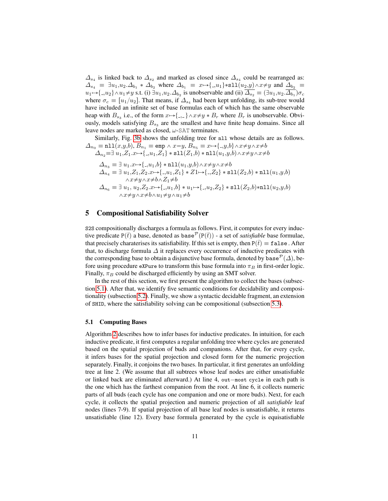$\Delta_{s_4}$  is linked back to  $\Delta_{s_2}$  and marked as closed since  $\Delta_{s_4}$  could be rearranged as:  $\Delta_{s_4} \equiv \exists u_1, u_2. \Delta_{b_1} * \Delta_{b_2}$  where  $\Delta_{b_1} \equiv x \mapsto \{-,u_1\} * s11(u_2,y) \wedge x \neq y$  and  $\Delta_{b_2} \equiv$  $u_1 \mapsto$ {<sub>-</sub>, $u_2$ }  $\wedge u_1 \neq y$  s.t. (i)  $\exists u_1, u_2 \dots \Delta_{b_2}$  is unobservable and (ii)  $\Delta_{s_2} \equiv (\exists u_1, u_2 \dots \Delta_{b_1}) \sigma_c$ where  $\sigma_c \equiv [u_1/u_2]$ . That means, if  $\Delta_{s_4}$  had been kept unfolding, its sub-tree would have included an infinite set of base formulas each of which has the same observable heap with  $B_{s_3}$  i.e., of the form  $x \mapsto \{.,.\} \wedge x \neq y * B_r$  where  $B_r$  is unobservable. Obviously, models satisfying  $B_{s_3}$  are the smallest and have finite heap domains. Since all leave nodes are marked as closed,  $\omega$ -SAT terminates.

Similarly, Fig. [3b](#page-9-0) shows the unfolding tree for nll whose details are as follows.  $\varDelta_{n_0} \equiv \mathtt{nil}(x,y,b), B_{n_1} \equiv \texttt{emp} \, \wedge \, x \mathord{=} y, B_{n_5} \equiv x \mathord{\mapsto} \{.\mathord{,} y,b\} \wedge x \mathord{\neq} y \wedge x \mathord{\neq} b$  $\Delta_{n_2}\!\!\equiv\!\exists\;u_1,\!Z_1.\!x\!\mapsto\!\{\rule{0pt}{1pt}\rule{0pt}{1pt}\!\! ,u_1,\!Z_1\} * \mathtt{sll}(Z_1,b)*\mathtt{nll}(u_1,y,b)\!\wedge\! x\!\neq\! y\!\wedge\! x\!\neq\! b$  $\varDelta_{n_3} \equiv \exists~u_1.x\!\!\mapsto\!\!\{.\! . ,\! u_1,\! b\} \ast \mathtt{nll}(u_1,\! y,\! b)\!\wedge\! x\!\neq\!\! y\!\wedge\! x\!\neq\! b$  $\Delta_{n_4} \equiv \exists u_1, Z_1, Z_2. x \mapsto \{.,u_1, Z_1\} * Z_1 \mapsto \{.,Z_2\} * \text{sl}(Z_2,b) * \text{nl}(u_1,y,b)$  $\wedge x \neq y \wedge x \neq b \wedge Z_1 \neq b$  $\varDelta_{n_{6}} \equiv \exists \; u_{1}, u_{2}, Z_{2}.x \mapsto \{.,u_{1},b\} \ast u_{1} \mapsto \{.,u_{2}, Z_{2}\} \ast \texttt{sll}(Z_{2},b) \ast \texttt{nll}(u_{2},y,b)$  $\land x \neq y \land x \neq b \land u_1 \neq y \land u_1 \neq b$ 

## <span id="page-10-0"></span>5 Compositional Satisfiability Solver

S2S compositionally discharges a formula as follows. First, it computes for every inductive predicate  $P(\bar{t})$  a base, denoted as base<sup> $P(P(\bar{t}))$ </sup> - a set of *satisfiable* base formulae, that precisely charaterises its satisfiability. If this set is empty, then  $P(\bar{t}) \equiv$  false. After that, to discharge formula  $\Delta$  it replaces every occurrence of inductive predicates with the corresponding base to obtain a disjunctive base formula, denoted by base<sup>P</sup>  $(\Delta)$ , before using procedure eXPure to transform this base formula into  $\pi_B$  in first-order logic. Finally,  $\pi_B$  could be discharged efficiently by using an SMT solver.

In the rest of this section, we first present the algorithm to collect the bases (subsection [5.1\)](#page-10-1). After that, we identify five semantic conditions for decidability and compositionality (subsection [5.2\)](#page-11-0). Finally, we show a syntactic decidable fragment, an extension of SHID, where the satisfiability solving can be compositional (subsection [5.3\)](#page-13-0).

#### <span id="page-10-1"></span>5.1 Computing Bases

Algorithm [2](#page-11-1) describes how to infer bases for inductive predicates. In intuition, for each inductive predicate, it first computes a regular unfolding tree where cycles are generated based on the spatial projection of buds and companions. After that, for every cycle, it infers bases for the spatial projection and closed form for the numeric projection separately. Finally, it conjoins the two bases. In particular, it first generates an unfolding tree at line 2. (We assume that all subtrees whose leaf nodes are either unsatisfiable or linked back are eliminated afterward.) At line 4, out-most cycle in each path is the one which has the farthest companion from the root. At line 6, it collects numeric parts of all buds (each cycle has one companion and one or more buds). Next, for each cycle, it collects the spatial projection and numeric projection of all *satisfiable* leaf nodes (lines 7-9). If spatial projection of all base leaf nodes is unsatisfiable, it returns unsatisfiable (line 12). Every base formula generated by the cycle is equisatisfiable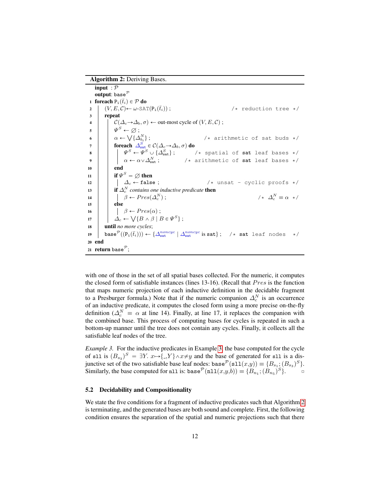Algorithm 2: Deriving Bases.

input : P output: base $^{\mathcal{P}}$ 1 foreach  $P_i(\bar{t}_i) \in \mathcal{P}$  do 2  $(V, E, C) \leftarrow \omega$ -SAT $(P_i(\bar{t}_i))$ ;  $/$ \* reduction tree \*/ <sup>3</sup> repeat 4  $\left| \left| \right| \mathcal{C}(\Delta_c \rightarrow \Delta_b, \sigma) \leftarrow \text{out-most cycle of } (V, E, C);$  $\mathfrak{s}$   $\left| \quad \right|$   $\Phi^S \leftarrow \varnothing$ ; 6  $\alpha \leftarrow \bigvee \{\Delta^N_{b_i}$ /\* arithmetic of sat buds  $*/$ 7  $\Box$  foreach  $\Delta_{\text{sat}}^S \in \mathcal{C}(\Delta_c \rightarrow \Delta_b, \sigma)$  do  $\begin{array}{cc} \mathbf{s} & \end{array} \begin{array}{c} \end{array} \begin{array}{c} \end{array} \begin{array}{c} \mathbf{w}^{S} \leftarrow \Psi^{S} \cup \{ \Delta_{\mathtt{ss}}^{S} \end{array}$ /\* spatial of sat leaf bases  $*/$ 9  $\vert$   $\vert$   $\alpha \leftarrow \alpha \vee \Delta_{\text{sat}}^N$ ; /\* arithmetic of sat leaf bases \*/  $10$  end 11  $\|\cdot\|$  if  $\Psi^S = \varnothing$  then  $12$   $\begin{array}{|c|c|c|c|c|c|}\n\hline\n & \Delta_c \leftarrow \texttt{false} & \rightarrow & \mathcal{A} \text{unsat - cyclic proofs } \star / \n\end{array}$ 13 **if**  $\Delta_c^N$  *contains one inductive predicate* then 14 | |  $\beta \leftarrow Pres(\Delta_c^N);$  $\alpha_c^{(N)}$ ;  $\lambda_c^{(N)} \equiv \alpha \star/2$  $15$  else 16  $\big|$   $\big|$   $\beta \leftarrow Pres(\alpha)$ ; 17  $\left| \quad \right| \quad \Delta_c \leftarrow \bigvee \{ B \wedge \beta \mid B \in \varPsi^S \} \ ;$ <sup>18</sup> until *no more cycles*;  ${\tt 19}\quad\Big|\quad{\tt base}^{\mathcal P}(({\tt P}_i(\bar t_i)))\leftarrow\{\Delta^{noncyc}_{{\tt sat}}\mid \Delta^{noncyc}_{{\tt sat}}\hbox{ is sat}\}\,;\quad\not\star\hbox{ sat leaf nodes }\,\,\star\neq 0\}.$ <sup>20</sup> end 21 return base<sup> $P$ </sup>:

<span id="page-11-1"></span>with one of those in the set of all spatial bases collected. For the numeric, it computes the closed form of satisfiable instances (lines  $13-16$ ). (Recall that  $Pres$  is the function that maps numeric projection of each inductive definition in the decidable fragment to a Presburger formula.) Note that if the numeric companion  $\Delta_c^N$  is an occurrence of an inductive predicate, it computes the closed form using a more precise on-the-fly definition ( $\Delta_c^N \equiv \alpha$  at line 14). Finally, at line 17, it replaces the companion with the combined base. This process of computing bases for cycles is repeated in such a bottom-up manner until the tree does not contain any cycles. Finally, it collects all the satisfiable leaf nodes of the tree.

<span id="page-11-2"></span>*Example 3.* For the inductive predicates in Example [3,](#page-11-2) the base computed for the cycle of sll is  $(B_{s_3})^S = \exists Y. x \mapsto \{.,Y\} \wedge x \neq y$  and the base of generated for sll is a disjunctive set of the two satisfiable base leaf nodes:  $base^{\mathcal{P}}(\text{sll}(x,y)) \equiv \{B_{s_1}; (B_{s_3})^S\}.$ Similarly, the base computed for n11 is: base  $^{\mathcal{P}}(\text{n11}(x,y,b)) \equiv \{B_{n_1}; (B_{n_5})^S\}$ .

#### <span id="page-11-0"></span>5.2 Decidability and Compositionality

We state the five conditions for a fragment of inductive predicates such that Algorithm [2](#page-11-1) is terminating, and the generated bases are both sound and complete. First, the following condition ensures the separation of the spatial and numeric projections such that there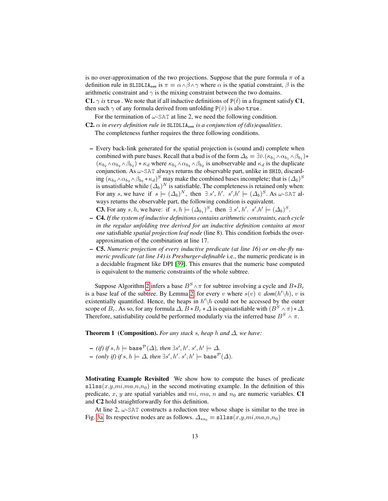is no over-approximation of the two projections. Suppose that the pure formula  $\pi$  of a definition rule in SLIDLIA<sub>sem</sub> is  $\pi \equiv \alpha \wedge \beta \wedge \gamma$  where  $\alpha$  is the spatial constraint,  $\beta$  is the arithmetic constraint and  $\gamma$  is the mixing constraint between the two domains. C1.  $\gamma$  *is* true. We note that if all inductive definitions of  $P(\bar{t})$  in a fragment satisfy C1,

then such  $\gamma$  of any formula derived from unfolding  $P(\bar{v})$  is also true.

For the termination of  $\omega$ -SAT at line 2, we need the following condition.

- C2.  $\alpha$  *in every definition rule in* SLIDLIA<sub>sem</sub> *is a conjunction of (dis)equalities.* The completeness further requires the three following conditions.
	- Every back-link generated for the spatial projection is (sound and) complete when combined with pure bases. Recall that a bud is of the form  $\Delta_b \equiv \exists \bar{v} . (\kappa_{b_1} \wedge \alpha_{b_1} \wedge \beta_{b_1})*$  $(\kappa_{b_2} \wedge \alpha_{b_2} \wedge \beta_{b_2}) * \kappa_d$  where  $\kappa_{b_2} \wedge \alpha_{b_2} \wedge \beta_{b_2}$  is unobservable and  $\kappa_d$  is the duplicate conjunction. As  $\omega$ -SAT always returns the observable part, unlike in SHID, discarding  $(\kappa_{b_2} \wedge \alpha_{b_2} \wedge \beta_{b_2} * \kappa_d)^S$  may make the combined bases incomplete; that is  $(\Delta_b)^S$ is unsatisfiable while  $(\Delta_b)^N$  is satisfiable. The completeness is retained only when: For any s, we have if  $s \models (\Delta_b)^N$ , then  $\exists s', h'$ .  $s', h' \models (\Delta_b)^S$ . As  $\omega$ -SAT always returns the observable part, the following condition is equivalent. **C3.** For any s, h, we have: if  $s, h \models (\Delta_{b_1})^S$ , then  $\exists s', h'. s', h' \models (\Delta_b)^S$ .
	- C4. *If the system of inductive definitions contains arithmetic constraints, each cycle in the regular unfolding tree derived for an inductive definition contains at most one* satisfiable *spatial projection leaf node* (line 8). This condition forbids the overapproximation of the combination at line 17.
	- C5. *Numeric projection of every inductive predicate (at line 16) or on-the-fly numeric predicate (at line 14) is Presburger-definable* i.e., the numeric predicate is in a decidable fragment like DPI [\[39\]](#page-22-4). This ensures that the numeric base computed is equivalent to the numeric constraints of the whole subtree.

Suppose Algorithm [2](#page-11-1) infers a base  $B<sup>S</sup> \wedge \pi$  for subtree involving a cycle and  $B*B<sub>r</sub>$ is a base leaf of the subtree. By Lemma [2,](#page-9-1) for every v where  $s(v) \in dom(h' \backslash h)$ , v is existentially quantified. Hence, the heaps in  $h' \backslash h$  could not be accessed by the outer scope of  $B_r$ . As so, for any formula  $\Delta$ ,  $B * B_r * \Delta$  is equisatisfiable with  $(B^S \wedge \pi) * \Delta$ . Therefore, satisfiability could be performed modularly via the inferred base  $B^S \wedge \pi$ .

**Theorem 1** (**Composition**). *For any stack s, heap* h and  $\Delta$ *, we have:* 

 $\textsf{I} = (if) \textit{ if } s,h \models \textsf{base}^{\mathcal{P}}(\varDelta)\textit{, then } \exists s',h'.~ s',h' \models \varDelta\textit{.}$  $\hskip1cm {\mathcal L} - (\textit{only if}) \textit{ if } s,h \models \Delta, \textit{then } \exists s',h'.~ s',h' \models \textsf{base}^{\mathcal P}(\Delta).$ 

Motivating Example Revisited We show how to compute the bases of predicate sllss $(x,y,mi,ma,n,n_0)$  in the second motivating example. In the definition of this predicate, x, y are spatial variables and  $mi$ ,  $ma$ ,  $n$  and  $n_0$  are numeric variables. C1 and C2 hold straightforwardly for this definition.

At line 2,  $\omega$ -SAT constructs a reduction tree whose shape is similar to the tree in Fig. [3a.](#page-9-0) Its respective nodes are as follows.  $\Delta_{ss_0} \equiv$  sllss $(x,y,min,ma,n,n_0)$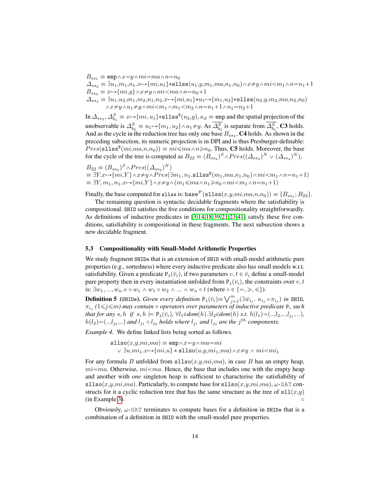$B_{ss_1} \equiv \exp \wedge x = y \wedge mi = ma \wedge n = n_0$  $\Delta_{ss_2} \equiv \exists u_1,m_1,n_1.x \mapsto \{mi,u_1\} * \text{sllss}(u_1,y,m_1,ma,n_1,n_0) \land x \neq y \land mi < m_1 \land n = n_1+1$  $B_{ss_2} \equiv x \rightarrow \{mi, y\} \wedge x \neq y \wedge mi \leq ma \wedge n = n_0+1$  $\Delta_{ss_4} \equiv \exists u_1, u_2, m_1, m_2, n_1, n_2 \ldots \rightarrow \{mi, u_1\} * u_1 \mapsto \{m_1, u_2\} * \text{sllss}(u_2, y, m_2, ma, n_2, n_0)$  $\lambda x \neq y \land u_1 \neq y \land m i \leq m_1 \land m_1 \leq m_2 \land n = n_1+1 \land n_1=n_2+1$ 

In  $\Delta_{ss_4}$ ,  $\Delta_{b_1}^S \equiv x \mapsto \{mi, u_1\} * \text{sllss}^S(u_2, y), \kappa_d \equiv \texttt{emp}$  and the spatial projection of the unobservable is  $\Delta_{b_2}^S \equiv u_1 \mapsto \{m_1, u_2\} \wedge u_1 \neq y$ . As  $\Delta_{b_2}^S$  is separate from  $\Delta_{b_1}^S$ , C3 holds. And as the cycle in the reduction tree has only one base  $B_{ss_3}$ , C4 holds. As shown in the preceding subsection, its numeric projection is in DPI and is thus Presburger-definable:  $Pres(\texttt{sllss}^{\text{N}}(mi,ma,n,n_0)) \equiv mi \leq ma \land n \geq n_0$ . Thus, C5 holds. Moreover, the base for the cycle of the tree is computed as  $B_{22} \equiv (B_{ss_3})^S \wedge Pres((\Delta_{ss_3})^N \vee (\Delta_{ss_4})^N)$ ,

 $B_{22} \equiv (B_{ss_3})^S \wedge Pres((\Delta_{ss_2})^N)$  $\equiv \exists Y.x \mapsto \{mi,Y\} \wedge x \neq y \wedge Pres(\exists m_1,n_1.\mathtt{sllss}^{\mathtt{N}}(m_1,ma,n_1,n_0) \wedge mi <\!\!m_1 \wedge n\!=\!n_1+1)$  $\equiv \exists Y, m_1, n_1 \ldots \rightarrow \{mi, Y\} \wedge x \neq y \wedge (m_1 \leq m \land n_1 \geq n_0 \land mi < m_1 \land n = n_1+1)$ 

Finally, the base computed for sllss is: base  $\mathcal{P}(\texttt{sllss}(x,y,mi,ma,n,n_0))\equiv \{B_{ss_1};B_{22}\}.$ 

The remaining question is syntactic decidable fragments where the satisfiability is compositional. SHID satisfies the five conditions for compositionality straightforwardly. As definitions of inductive predicates in [\[3,](#page-20-5)[14](#page-20-6)[,18](#page-21-6)[,39](#page-22-4)[,21](#page-21-5)[,23](#page-21-2)[,41\]](#page-22-5) satisfy these five conditions, satisfiability is compositional in these fragments. The next subsection shows a new decidable fragment.

#### <span id="page-13-0"></span>5.3 Compositionality with Small-Model Arithmetic Properties

We study fragment SHIDe that is an extension of SHID with small-model arithmetic pure properties (e.g., sortedness) where every inductive predicate also has small models w.r.t. satisfiability. Given a predicate  $P_i(\bar{v}_i)$ , if two parameters  $v, t \in \bar{v}_i$  define a small-model pure property then in every instantiation unfolded from  $P_i(\bar{v}_i)$ , the constraints over  $v, t$ is:  $\exists w_1, ..., w_n \ldots \lor w_1 \land w_1 \lor w_2 \land ... \land w_n \lor t$  (where  $\Diamond \in \{ =, \geq, \leq \}$ ).

**Definition 5** (SHIDe). *Given every definition*  $P_i(\bar{v}_i) \equiv \bigvee_{j=1}^m (\exists \bar{w}_{i_j} \cdot \kappa_{i_j} \wedge \pi_{i_j})$  *in* SHID,  $\pi_{i_j}$  ( $1 \leq j \leq m$ ) may contain  $\diamond$  operators over parameters of inductive predicate  $P_i$  such *that for any*  $s, h$  *if*  $s, h \models P_i(\bar{v}_i)$ ,  $\forall l_1 \in dom(h). \exists l_2 \in dom(h) \text{ s.t. } h(l_1) = (...,l_2,...,l_{j_1},...)$ ,  $h(l_2) = (.,l_{j_2},...)$  and  $l_{j_1} \diamond l_{j_2}$  holds where  $l_{j_1}$  and  $l_{j_2}$  are the  $j^{th}$  components.

*Example 4.* We define linked lists being sorted as follows.

 $\texttt{sllso}(x,y,mi,ma) \equiv \texttt{emp} \land x = y \land ma = mi$  $\vee \exists u, mi_1.x \mapsto \{mi,u\} *$ sllso $(u,y,mi_1,ma) \wedge x \neq y \wedge mi < mi_1$ 

For any formula B unfolded from  $\text{sllso}(x,y,min,m)$ , in case B has an empty heap,  $mi = ma$ . Otherwise,  $mi < ma$ . Hence, the base that includes one with the empty heap and another with *one* singleton heap is sufficient to characterise the satisfiability of sllso $(x,y,min,ma)$ . Particularly, to compute base for sllso $(x,y,min,ma)$ ,  $\omega$ -SAT constructs for it a cyclic reduction tree that has the same structure as the tree of  $\text{sl}(x,y)$  $(in Example 3).$  $(in Example 3).$  $(in Example 3).$ 

Obviously,  $\omega$ -SAT terminates to compute bases for a definition in SHIDe that is a combination of a definition in SHID with the small-model pure properties.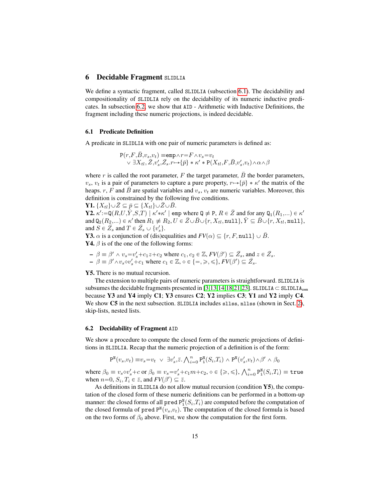## <span id="page-14-0"></span>6 Decidable Fragment SLIDLIA

We define a syntactic fragment, called SLIDLIA (subsection [6.1\)](#page-14-1). The decidability and compositionality of SLIDLIA rely on the decidability of its numeric inductive predicates. In subsection [6.2,](#page-14-2) we show that AID - Arithmetic with Inductive Definitions, the fragment including these numeric projections, is indeed decidable.

#### <span id="page-14-1"></span>6.1 Predicate Definition

A predicate in SLIDLIA with one pair of numeric parameters is defined as:

$$
\begin{array}{l} \mathbf{P}(r, \!F, \!\bar{B}, \!v_s, \!v_t) \equiv \!\!\mathsf{emp}\! \wedge \!r \!=\! \!F \!\wedge\! v_s \!=\! v_t\\ \vee \exists X_{tl}, \bar{Z}, \!v_s', \!\bar{Z}_s.\!r \!\mapsto\! \{\bar{p}\} \ast \kappa' \ast \mathbf{P}(X_{tl}, \!F, \!\bar{B}, \!v_s', \!v_t) \!\wedge\! \alpha \!\wedge\! \beta \end{array}
$$

where r is called the root parameter,  $F$  the target parameter,  $B$  the border parameters,  $v_s$ ,  $v_t$  is a pair of parameters to capture a pure property,  $r \mapsto {\overline{p}} * \kappa'$  the matrix of the heaps. r, F and  $\overline{B}$  are spatial variables and  $v_s$ ,  $v_t$  are numeric variables. Moreover, this definition is constrained by the following five conditions.

**Y1.** 
$$
\{X_{tl}\}\cup \bar{Z} \subseteq \bar{p} \subseteq \{X_{tl}\}\cup \bar{Z}\cup \bar{B}.
$$

**Y2.**  $\kappa' := \mathbb{Q}(R, U, \bar{Y}, S, T) \mid \kappa' * \kappa' \mid \text{emp where } \mathbb{Q} \neq \mathbb{P}, R \in \bar{Z} \text{ and for any } \mathbb{Q}_1(R_1, \dots) \in \kappa'$ and  $\mathtt{Q_2}(R_2,...)\in \kappa'$  then  $R_1\not\equiv R_2, U\in \bar{Z}\cup \bar{B}\cup \{r, X_{tl}, \mathtt{null}\}, \bar{Y}\subseteq \bar{B}\cup \{r, X_{tl}, \mathtt{null}\},$ and  $S \in \overline{Z}_s$  and  $T \in \overline{Z}_s \cup \{v_s'\}.$ 

**Y3.**  $\alpha$  is a conjunction of (dis)equalities and  $FV(\alpha) \subseteq \{r, F, \text{null}\} \cup \overline{B}$ . **Y4.**  $\beta$  is of the one of the following forms:

 $- \beta \equiv \beta' \wedge v_s = v'_s + c_1 z + c_2$  where  $c_1, c_2 \in \mathbb{Z}, FV(\beta') \subseteq \overline{Z}_s$ , and  $z \in \overline{Z}_s$ .  $-\beta \equiv \beta' \wedge v_s \otimes v'_s + c_1$  where  $c_1 \in \mathbb{Z}, \diamond \in \{ =, \geq, \leq \}, FV(\beta') \subseteq \overline{Z}_s$ .

Y5. There is no mutual recursion.

The extension to multiple pairs of numeric parameters is straightforward. SLIDLIA is subsumes the decidable fragments presented in [\[3](#page-20-5)[,13,](#page-20-7)[14,](#page-20-6)[18,](#page-21-6)[21,](#page-21-5)[23\]](#page-21-2). SLIDLIA  $\subset$  SLIDLIA<sub>sem</sub> because Y3 and Y4 imply C1; Y3 ensures C2; Y2 implies C3; Y1 and Y2 imply C4. We show C5 in the next subsection. SLIDLIA includes sllss, nllss (shown in Sect. [2\)](#page-2-0), skip-lists, nested lists.

#### <span id="page-14-2"></span>6.2 Decidability of Fragment AID

We show a procedure to compute the closed form of the numeric projections of definitions in SLIDLIA. Recap that the numeric projection of a definition is of the form:

<span id="page-14-3"></span>
$$
\mathsf{P}^{\mathsf{N}}(v_s,v_t) \equiv v_s = v_t \ \lor \ \exists v_s',\bar{z}.\ \bigwedge_{i=0}^n\mathsf{P}_\mathbf{i}^{\mathsf{N}}(S_i,T_i) \ \land \ \mathsf{P}^{\mathsf{N}}(v_s',v_t) \land \beta' \ \land \ \beta_0
$$

where  $\beta_0 \equiv v_s \diamond v'_s + c$  or  $\beta_0 \equiv v_s = v'_s + c_1 m + c_2, \diamond \in \{\geq,\leq\}, \bigwedge_{i=1}^n$  $\sum\limits_{i=0}^n{\tt P}_{\tt i}^{\tt N}(S_i,T_i)\equiv{\tt true}$ when  $n=0$ ,  $S_i$ ,  $T_i \in \overline{z}$ , and  $FV(\beta') \subseteq \overline{z}$ .

As definitions in SLIDLIA do not allow mutual recursion (condition  $\mathbf{Y5}$ ), the computation of the closed form of these numeric definitions can be performed in a bottom-up manner: the closed forms of all pred  $P_i^N(S_i, T_i)$  are computed before the computation of the closed formula of pred  $P^N(v_s, v_t)$ . The computation of the closed formula is based on the two forms of  $\beta_0$  above. First, we show the computation for the first form.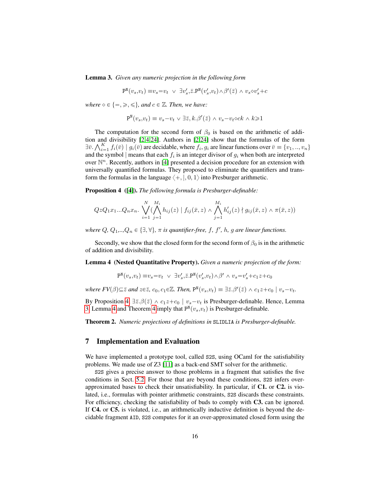Lemma 3. *Given any numeric projection in the following form*

$$
\mathbf{P}^{\mathbf{N}}(v_s, v_t) \equiv v_s = v_t \quad \forall \quad \exists v_s', \bar{z}. \mathbf{P}^{\mathbf{N}}(v_s', v_t) \wedge \beta'(\bar{z}) \wedge v_s \diamond v_s' + c
$$

*where*  $\diamond \in \{ =, \geq, \leq \}$ *, and*  $c \in \mathbb{Z}$ *. Then, we have:* 

$$
P^{N}(v_{s},v_{t}) \equiv v_{s} - v_{t} \vee \exists \bar{z}, k \cdot \beta'(\bar{z}) \wedge v_{s} - v_{t} \diamond ck \wedge k \ge 1
$$

The computation for the second form of  $\beta_0$  is based on the arithmetic of addi-tion and divisibility [\[2](#page-20-8)[,4](#page-20-9)[,24\]](#page-21-10). Authors in [\[2,](#page-20-8)[24\]](#page-21-10) show that the formulas of the form<br> $\overline{AB} = \overline{AB} + \overline{A} + (\overline{a}) + \overline{a} (\overline{a})$  are desided upper functional functions such  $\overline{a} = (a_1, a_2, a_3)$  $\exists \bar{v}.\bigwedge_{i=1}^n f_i(\bar{v}) \mid g_i(\bar{v})$  are decidable, where  $f_i, g_i$  are linear functions over  $\bar{v} \equiv \{v_1,..,v_n\}$ and the symbol | means that each  $f_i$  is an integer divisor of  $g_i$  when both are interpreted over  $\mathbb{N}^n$ . Recently, authors in [\[4\]](#page-20-9) presented a decision procedure for an extension with universally quantified formulas. They proposed to eliminate the quantifiers and transform the formulas in the language  $\langle +, |, 0, 1 \rangle$  into Presburger arithmetic.

<span id="page-15-1"></span>Proposition 4 ([\[4\]](#page-20-9)). *The following formula is Presburger-definable:*

$$
QzQ_1x_1...Q_nx_n. \bigvee_{i=1}^{N} (\bigwedge_{j=1}^{M_i} h_{ij}(z) | f_{ij}(\bar{x}, z) \wedge \bigwedge_{j=1}^{M_i} h'_{ij}(z) | g_{ij}(\bar{x}, z) \wedge \pi(\bar{x}, z))
$$

*where*  $Q$ ,  $Q_1, ..., Q_n \in \{\exists, \forall\}$ ,  $\pi$  *is quantifier-free, f, f', h, g are linear functions.* 

Secondly, we show that the closed form for the second form of  $\beta_0$  is in the arithmetic of addition and divisibility.

Lemma 4 (Nested Quantitative Property). *Given a numeric projection of the form:*

<span id="page-15-2"></span>
$$
\mathbf{P}^{\text{N}}(v_s,v_t)\equiv\!\!v_s\!=\!v_t~\vee~\exists v_s'\!,\!\bar{z}.\mathbf{P}^{\text{N}}(v_s',\!v_t)\!\wedge\!\beta'\!\ \wedge \!\ v_s\!=\!v_s'\!+\!c_1z\!+\!c_0
$$

 $where \ FV(\beta) \subseteq \bar{z} \ and \ z \in \bar{z}, \ c_0, c_1 \in \mathbb{Z}$ . Then,  $P^{\mathbb{N}}(v_s, v_t) \equiv \exists \bar{z}. \beta'(\bar{z}) \wedge c_1 z + c_0 \mid v_s - v_t$ .

By Proposition [4,](#page-15-1)  $\exists \bar{z}.\beta(\bar{z}) \wedge c_1z+c_0$  |  $v_s-v_t$  is Presburger-definable. Hence, Lemma [3,](#page-14-3) Lemma [4](#page-15-1) and Theorem 4 imply that  $P^{N}(v_s, v_t)$  is Presburger-definable.

Theorem 2. *Numeric projections of definitions in* SLIDLIA *is Presburger-definable.*

### <span id="page-15-0"></span>7 Implementation and Evaluation

We have implemented a prototype tool, called S2S, using OCaml for the satisfiability problems. We made use of Z3 [\[11\]](#page-20-10) as a back-end SMT solver for the arithmetic.

S2S gives a precise answer to those problems in a fragment that satisfies the five conditions in Sect. [5.2.](#page-11-0) For those that are beyond these conditions, S2S infers overapproximated bases to check their unsatisfiability. In particular, if C1. or C2. is violated, i.e., formulas with pointer arithmetic constraints, S2S discards these constraints. For efficiency, checking the satisfiability of buds to comply with **C3**, can be ignored. If C4. or C5. is violated, i.e., an arithmetically inductive definition is beyond the decidable fragment AID, S2S computes for it an over-approximated closed form using the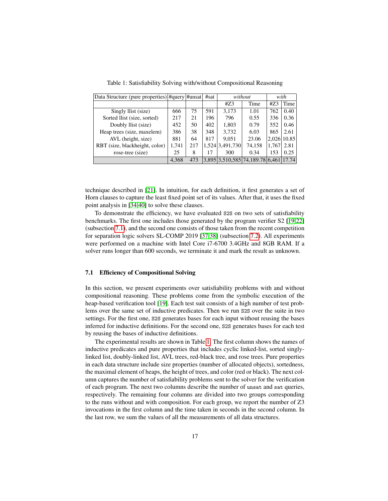| Data Structure (pure properties) #query #unsat |       |     | #sat | without                         |        | with        |       |
|------------------------------------------------|-------|-----|------|---------------------------------|--------|-------------|-------|
|                                                |       |     |      | # $Z3$                          | Time   | #Z3         | Time  |
| Singly llist (size)                            | 666   | 75  | 591  | 3,173                           | 1.01   | 762         | 0.40  |
| Sorted Ilist (size, sorted)                    | 217   | 21  | 196  | 796                             | 0.55   | 336         | 0.36  |
| Doubly llist (size)                            | 452   | 50  | 402  | 1,803                           | 0.79   | 552         | 0.46  |
| Heap trees (size, maxelem)                     | 386   | 38  | 348  | 3,732                           | 6.03   | 865         | 2.61  |
| AVL (height, size)                             | 881   | 64  | 817  | 9.051                           | 23.06  | 2,026 10.85 |       |
| RBT (size, blackheight, color)                 | 1,741 | 217 |      | 1,524 3,491,730                 | 74,158 | 1,767       | 2.81  |
| rose-tree (size)                               | 25    | 8   | 17   | 300                             | 0.34   | 153         | 0.25  |
|                                                | 4,368 | 473 |      | 3,895 3,510,585 74,189.78 6,461 |        |             | 17.74 |

<span id="page-16-1"></span>Table 1: Satisfiability Solving with/without Compositional Reasoning

technique described in [\[21\]](#page-21-5). In intuition, for each definition, it first generates a set of Horn clauses to capture the least fixed point set of its values. After that, it uses the fixed point analysis in [\[34](#page-22-6)[,40\]](#page-22-7) to solve these clauses.

To demonstrate the efficiency, we have evaluated S2S on two sets of satisfiability benchmarks. The first one includes those generated by the program verifier S2 [\[19,](#page-21-1)[22\]](#page-21-11) (subsection [7.1\)](#page-16-0), and the second one consists of those taken from the recent competition for separation logic solvers SL-COMP 2019 [\[37,](#page-22-3)[38\]](#page-22-8) (subsection [7.2\)](#page-17-0). All experiments were performed on a machine with Intel Core i7-6700 3.4GHz and 8GB RAM. If a solver runs longer than 600 seconds, we terminate it and mark the result as unknown.

### <span id="page-16-0"></span>7.1 Efficiency of Compositional Solving

In this section, we present experiments over satisfiability problems with and without compositional reasoning. These problems come from the symbolic execution of the heap-based verification tool [\[19\]](#page-21-1). Each test suit consists of a high number of test problems over the same set of inductive predicates. Then we run S2S over the suite in two settings. For the first one, S2S generates bases for each input without reusing the bases inferred for inductive definitions. For the second one, S2S generates bases for each test by reusing the bases of inductive definitions.

The experimental results are shown in Table [1.](#page-16-1) The first column shows the names of inductive predicates and pure properties that includes cyclic linked-list, sorted singlylinked list, doubly-linked list, AVL trees, red-black tree, and rose trees. Pure properties in each data structure include size properties (number of allocated objects), sortedness, the maximal element of heaps, the height of trees, and color (red or black). The next column captures the number of satisfiability problems sent to the solver for the verification of each program. The next two columns describe the number of unsat and sat queries, respectively. The remaining four columns are divided into two groups corresponding to the runs without and with composition. For each group, we report the number of Z3 invocations in the first column and the time taken in seconds in the second column. In the last row, we sum the values of all the measurements of all data structures.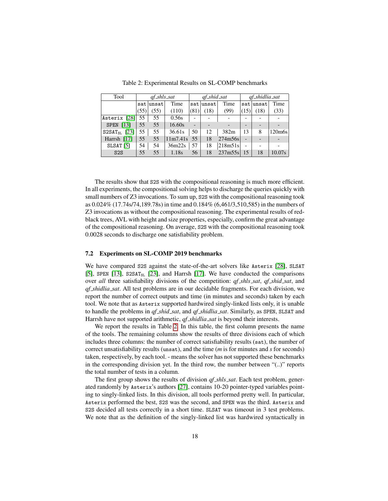<span id="page-17-1"></span>

| Tool                 | af_shls_sat |           | af_shid_sat |                          | af_shidlia_sat |         |                   |           |                    |
|----------------------|-------------|-----------|-------------|--------------------------|----------------|---------|-------------------|-----------|--------------------|
|                      |             | sat unsat | Time        |                          | satlunsat      | Time    |                   | sat unsat | Time               |
|                      | (55)        | (55)      | (110)       | (81)                     | (18)           | (99)    | (15)              | (18)      | (33)               |
| Asterix [28]         | 55          | 55        | 0.56s       | $\overline{\phantom{0}}$ |                |         |                   |           |                    |
| [13]<br><b>SPEN</b>  | 55          | 55        | 16.60s      |                          |                |         |                   |           |                    |
| $S2SAT_{SL}$ [23]    | 55          | 55        | 36.61s      | 50                       | 12             | 382m    | 13                | 8         | 120 <sub>m6s</sub> |
| Harrsh $[17]$        | 55          | 55        | 11m7.41s    | 55                       | 18             | 274m56s | $\qquad \qquad -$ |           |                    |
| SLSAT <sub>[5]</sub> | 54          | 54        | 36m22s      | 57                       | 18             | 218m51s | -                 |           |                    |
| S2S                  | 55          | 55        | 1.18s       | 56                       | 18             | 237m55s | 15                | 18        | 10.07s             |

Table 2: Experimental Results on SL-COMP benchmarks

The results show that S2S with the compositional reasoning is much more efficient. In all experiments, the compositional solving helps to discharge the queries quickly with small numbers of Z3 invocations. To sum up, S2S with the compositional reasoning took as 0.024% (17.74s/74,189.78s) in time and 0.184% (6,461/3,510,585) in the numbers of Z3 invocations as without the compositional reasoning. The experimental results of redblack trees, AVL with height and size properties, especially, confirm the great advantage of the compositional reasoning. On average, S2S with the compositional reasoning took 0.0028 seconds to discharge one satisfiability problem.

#### <span id="page-17-0"></span>7.2 Experiments on SL-COMP 2019 benchmarks

We have compared S2S against the state-of-the-art solvers like Asterix [\[28\]](#page-21-9), SLSAT [\[5\]](#page-20-1), SPEN [\[13\]](#page-20-7), S2SAT<sub>SL</sub> [\[23\]](#page-21-2), and Harrsh [\[17\]](#page-21-8). We have conducted the comparisons over *all* three satisfiability divisions of the competition: *qf shls sat*, *qf shid sat*, and *qf shidlia sat*. All test problems are in our decidable fragments. For each division, we report the number of correct outputs and time (in minutes and seconds) taken by each tool. We note that as Asterix supported hardwired singly-linked lists only, it is unable to handle the problems in *qf shid sat*, and *qf shidlia sat*. Similarly, as SPEN, SLSAT and Harrsh have not supported arithmetic, *qf shidlia sat* is beyond their interests.

We report the results in Table [2.](#page-17-1) In this table, the first column presents the name of the tools. The remaining columns show the results of three divisions each of which includes three columns: the number of correct satisfiability results (sat), the number of correct unsatisfiability results (unsat), and the time (*m* is for minutes and *s* for seconds) taken, respectively, by each tool. - means the solver has not supported these benchmarks in the corresponding division yet. In the third row, the number between "(..)" reports the total number of tests in a column.

The first group shows the results of division *qf shls sat*. Each test problem, generated randomly by Asterix's authors [\[27\]](#page-21-7), contains 10-20 pointer-typed variables pointing to singly-linked lists. In this division, all tools performed pretty well. In particular, Asterix performed the best, S2S was the second, and SPEN was the third. Asterix and S2S decided all tests correctly in a short time. SLSAT was timeout in 3 test problems. We note that as the definition of the singly-linked list was hardwired syntactically in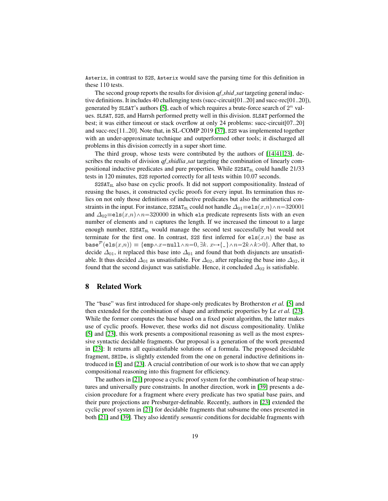Asterix, in contrast to S2S, Asterix would save the parsing time for this definition in these 110 tests.

The second group reports the results for division *qf shid sat* targeting general inductive definitions. It includes 40 challenging tests (succ-circuit[01..20] and succ-rec[01..20]), generated by SLSAT's authors [\[5\]](#page-20-1), each of which requires a brute-force search of  $2^n$  values. SLSAT, S2S, and Harrsh performed pretty well in this division. SLSAT performed the best; it was either timeout or stack overflow at only 24 problems: succ-circuit[07..20] and succ-rec[11..20]. Note that, in SL-COMP 2019 [\[37\]](#page-22-3), S2S was implemented together with an under-approximate technique and outperformed other tools; it discharged all problems in this division correctly in a super short time.

The third group, whose tests were contributed by the authors of [\[14](#page-20-6)[,41,](#page-22-5)[23\]](#page-21-2), describes the results of division *qf shidlia sat* targeting the combination of linearly compositional inductive predicates and pure properties. While  $S2SAT<sub>SI</sub>$  could handle 21/33 tests in 120 minutes, S2S reported correctly for all tests within 10.07 seconds.

S2SAT<sub>SL</sub> also base on cyclic proofs. It did not support compositionality. Instead of reusing the bases, it constructed cyclic proofs for every input. Its termination thus relies on not only those definitions of inductive predicates but also the arithmetical constraints in the input. For instance, S2SAT<sub>SL</sub> could not handle  $\Delta_{01} = \text{els}(x,n) \wedge n = 320001$ and  $\Delta_{02} = \text{els}(x,n) \wedge n = 320000$  in which els predicate represents lists with an even number of elements and  $n$  captures the length. If we increased the timeout to a large enough number, S2SAT<sub>SL</sub> would manage the second test successfully but would not terminate for the first one. In contrast, S2S first inferred for  $\text{els}(x,n)$  the base as base<sup> $P$ </sup>(els $(x,n)$ ) = {emp $\land x$ =null $\land n=0$ ,  $\exists k.$   $x\mapsto\{\Box\}\land n=2k\land k>0\}.$  After that, to decide  $\Delta_{01}$ , it replaced this base into  $\Delta_{01}$  and found that both disjuncts are unsatisfiable. It thus decided  $\Delta_{01}$  as unsatisfiable. For  $\Delta_{02}$ , after replacing the base into  $\Delta_{02}$ , it found that the second disjunct was satisfiable. Hence, it concluded  $\Delta_{02}$  is satisfiable.

# <span id="page-18-0"></span>8 Related Work

The "base" was first introduced for shape-only predicates by Brotherston *et al.* [\[5\]](#page-20-1) and then extended for the combination of shape and arithmetic properties by Le *et al.* [\[23\]](#page-21-2). While the former computes the base based on a fixed point algorithm, the latter makes use of cyclic proofs. However, these works did not discuss compositionality. Unlike [\[5\]](#page-20-1) and [\[23\]](#page-21-2), this work presents a compositional reasoning as well as the most expressive syntactic decidable fragments. Our proposal is a generation of the work presented in [\[23\]](#page-21-2): It returns all equisatisfiable solutions of a formula. The proposed decidable fragment, SHIDe, is slightly extended from the one on general inductive definitions introduced in [\[5\]](#page-20-1) and [\[23\]](#page-21-2). A crucial contribution of our work is to show that we can apply compositional reasoning into this fragment for efficiency.

The authors in [\[21\]](#page-21-5) propose a cyclic proof system for the combination of heap structures and universally pure constraints. In another direction, work in [\[39\]](#page-22-4) presents a decision procedure for a fragment where every predicate has two spatial base pairs, and their pure projections are Presburger-definable. Recently, authors in [\[23\]](#page-21-2) extended the cyclic proof system in [\[21\]](#page-21-5) for decidable fragments that subsume the ones presented in both [\[21\]](#page-21-5) and [\[39\]](#page-22-4). They also identify *semantic* conditions for decidable fragments with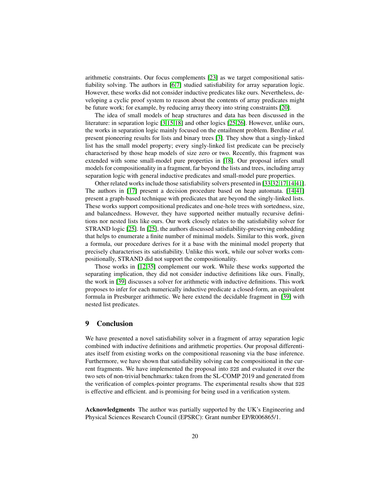arithmetic constraints. Our focus complements [\[23\]](#page-21-2) as we target compositional satisfiability solving. The authors in [\[6](#page-20-11)[,7\]](#page-20-12) studied satisfiability for array separation logic. However, these works did not consider inductive predicates like ours. Nevertheless, developing a cyclic proof system to reason about the contents of array predicates might be future work; for example, by reducing array theory into string constraints [\[20\]](#page-21-12).

The idea of small models of heap structures and data has been discussed in the literature: in separation logic [\[3,](#page-20-5)[15,](#page-20-13)[18\]](#page-21-6) and other logics [\[25](#page-21-13)[,26\]](#page-21-14). However, unlike ours, the works in separation logic mainly focused on the entailment problem. Berdine *et al.* present pioneering results for lists and binary trees [\[3\]](#page-20-5). They show that a singly-linked list has the small model property; every singly-linked list predicate can be precisely characterised by those heap models of size zero or two. Recently, this fragment was extended with some small-model pure properties in [\[18\]](#page-21-6). Our proposal infers small models for compositionality in a fragment, far beyond the lists and trees, including array separation logic with general inductive predicates and small-model pure properties.

Other related works include those satisfiability solvers presented in [\[33,](#page-22-9)[32,](#page-22-2)[17,](#page-21-8)[14,](#page-20-6)[41\]](#page-22-5). The authors in [\[17\]](#page-21-8) present a decision procedure based on heap automata. [\[14](#page-20-6)[,41\]](#page-22-5) present a graph-based technique with predicates that are beyond the singly-linked lists. These works support compositional predicates and one-hole trees with sortedness, size, and balancedness. However, they have supported neither mutually recursive definitions nor nested lists like ours. Our work closely relates to the satisfiability solver for STRAND logic [\[25\]](#page-21-13). In [\[25\]](#page-21-13), the authors discussed satisfiability-preserving embedding that helps to enumerate a finite number of minimal models. Similar to this work, given a formula, our procedure derives for it a base with the minimal model property that precisely characterises its satisfiability. Unlike this work, while our solver works compositionally, STRAND did not support the compositionality.

Those works in [\[12,](#page-20-14)[35\]](#page-22-10) complement our work. While these works supported the separating implication, they did not consider inductive definitions like ours. Finally, the work in [\[39\]](#page-22-4) discusses a solver for arithmetic with inductive definitions. This work proposes to infer for each numerically inductive predicate a closed-form, an equivalent formula in Presburger arithmetic. We here extend the decidable fragment in [\[39\]](#page-22-4) with nested list predicates.

# <span id="page-19-0"></span>9 Conclusion

We have presented a novel satisfiability solver in a fragment of array separation logic combined with inductive definitions and arithmetic properties. Our proposal differentiates itself from existing works on the compositional reasoning via the base inference. Furthermore, we have shown that satisfiability solving can be compositional in the current fragments. We have implemented the proposal into S2S and evaluated it over the two sets of non-trivial benchmarks: taken from the SL-COMP 2019 and generated from the verification of complex-pointer programs. The experimental results show that S2S is effective and efficient. and is promising for being used in a verification system.

Acknowledgments The author was partially supported by the UK's Engineering and Physical Sciences Research Council (EPSRC): Grant number EP/R006865/1.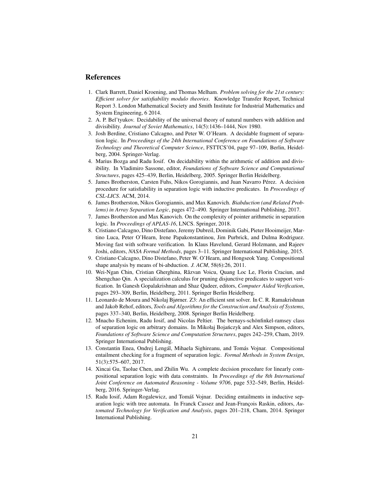## References

- <span id="page-20-0"></span>1. Clark Barrett, Daniel Kroening, and Thomas Melham. *Problem solving for the 21st century: Efficient solver for satisfiability modulo theories*. Knowledge Transfer Report, Technical Report 3. London Mathematical Society and Smith Institute for Industrial Mathematics and System Engineering, 6 2014.
- <span id="page-20-8"></span>2. A. P. Bel'tyukov. Decidability of the universal theory of natural numbers with addition and divisibility. *Journal of Soviet Mathematics*, 14(5):1436–1444, Nov 1980.
- <span id="page-20-5"></span>3. Josh Berdine, Cristiano Calcagno, and Peter W. O'Hearn. A decidable fragment of separation logic. In *Proceedings of the 24th International Conference on Foundations of Software Technology and Theoretical Computer Science*, FSTTCS'04, page 97–109, Berlin, Heidelberg, 2004. Springer-Verlag.
- <span id="page-20-9"></span>4. Marius Bozga and Radu Iosif. On decidability within the arithmetic of addition and divisibility. In Vladimiro Sassone, editor, *Foundations of Software Science and Computational Structures*, pages 425–439, Berlin, Heidelberg, 2005. Springer Berlin Heidelberg.
- <span id="page-20-1"></span>5. James Brotherston, Carsten Fuhs, Nikos Gorogiannis, and Juan Navarro Perez. A decision ´ procedure for satisfiability in separation logic with inductive predicates. In *Proceedings of CSL-LICS*. ACM, 2014.
- <span id="page-20-11"></span>6. James Brotherston, Nikos Gorogiannis, and Max Kanovich. *Biabduction (and Related Problems) in Array Separation Logic*, pages 472–490. Springer International Publishing, 2017.
- <span id="page-20-12"></span>7. James Brotherston and Max Kanovich. On the complexity of pointer arithmetic in separation logic. In *Proceedings of APLAS-16*, LNCS. Springer, 2018.
- <span id="page-20-4"></span>8. Cristiano Calcagno, Dino Distefano, Jeremy Dubreil, Dominik Gabi, Pieter Hooimeijer, Martino Luca, Peter O'Hearn, Irene Papakonstantinou, Jim Purbrick, and Dulma Rodriguez. Moving fast with software verification. In Klaus Havelund, Gerard Holzmann, and Rajeev Joshi, editors, *NASA Formal Methods*, pages 3–11. Springer International Publishing, 2015.
- <span id="page-20-3"></span>9. Cristiano Calcagno, Dino Distefano, Peter W. O'Hearn, and Hongseok Yang. Compositional shape analysis by means of bi-abduction. *J. ACM*, 58(6):26, 2011.
- <span id="page-20-2"></span>10. Wei-Ngan Chin, Cristian Gherghina, Razvan Voicu, Quang Loc Le, Florin Craciun, and ˘ Shengchao Qin. A specialization calculus for pruning disjunctive predicates to support verification. In Ganesh Gopalakrishnan and Shaz Qadeer, editors, *Computer Aided Verification*, pages 293–309, Berlin, Heidelberg, 2011. Springer Berlin Heidelberg.
- <span id="page-20-10"></span>11. Leonardo de Moura and Nikolaj Bjørner. Z3: An efficient smt solver. In C. R. Ramakrishnan and Jakob Rehof, editors, *Tools and Algorithms for the Construction and Analysis of Systems*, pages 337–340, Berlin, Heidelberg, 2008. Springer Berlin Heidelberg.
- <span id="page-20-14"></span>12. Mnacho Echenim, Radu Iosif, and Nicolas Peltier. The bernays-schönfinkel-ramsey class of separation logic on arbitrary domains. In Mikołaj Bojanczyk and Alex Simpson, editors, ´ *Foundations of Software Science and Computation Structures*, pages 242–259, Cham, 2019. Springer International Publishing.
- <span id="page-20-7"></span>13. Constantin Enea, Ondrej Lengál, Mihaela Sighireanu, and Tomás Vojnar. Compositional entailment checking for a fragment of separation logic. *Formal Methods in System Design*, 51(3):575–607, 2017.
- <span id="page-20-6"></span>14. Xincai Gu, Taolue Chen, and Zhilin Wu. A complete decision procedure for linearly compositional separation logic with data constraints. In *Proceedings of the 8th International Joint Conference on Automated Reasoning - Volume 9706*, page 532–549, Berlin, Heidelberg, 2016. Springer-Verlag.
- <span id="page-20-13"></span>15. Radu Iosif, Adam Rogalewicz, and Tomáš Vojnar. Deciding entailments in inductive separation logic with tree automata. In Franck Cassez and Jean-François Raskin, editors, Au*tomated Technology for Verification and Analysis*, pages 201–218, Cham, 2014. Springer International Publishing.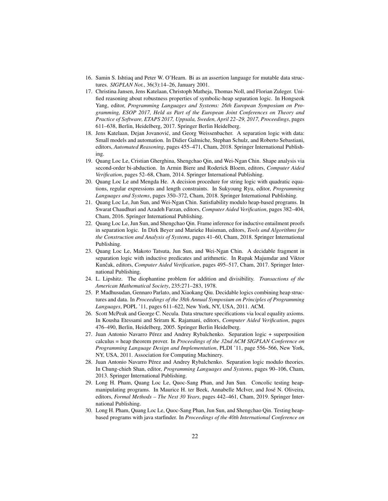- <span id="page-21-0"></span>16. Samin S. Ishtiaq and Peter W. O'Hearn. Bi as an assertion language for mutable data structures. *SIGPLAN Not.*, 36(3):14–26, January 2001.
- <span id="page-21-8"></span>17. Christina Jansen, Jens Katelaan, Christoph Matheja, Thomas Noll, and Florian Zuleger. Unified reasoning about robustness properties of symbolic-heap separation logic. In Hongseok Yang, editor, *Programming Languages and Systems: 26th European Symposium on Programming, ESOP 2017, Held as Part of the European Joint Conferences on Theory and Practice of Software, ETAPS 2017, Uppsala, Sweden, April 22–29, 2017, Proceedings*, pages 611–638, Berlin, Heidelberg, 2017. Springer Berlin Heidelberg.
- <span id="page-21-6"></span>18. Jens Katelaan, Dejan Jovanovic, and Georg Weissenbacher. A separation logic with data: ´ Small models and automation. In Didier Galmiche, Stephan Schulz, and Roberto Sebastiani, editors, *Automated Reasoning*, pages 455–471, Cham, 2018. Springer International Publishing.
- <span id="page-21-1"></span>19. Quang Loc Le, Cristian Gherghina, Shengchao Qin, and Wei-Ngan Chin. Shape analysis via second-order bi-abduction. In Armin Biere and Roderick Bloem, editors, *Computer Aided Verification*, pages 52–68, Cham, 2014. Springer International Publishing.
- <span id="page-21-12"></span>20. Quang Loc Le and Mengda He. A decision procedure for string logic with quadratic equations, regular expressions and length constraints. In Sukyoung Ryu, editor, *Programming Languages and Systems*, pages 350–372, Cham, 2018. Springer International Publishing.
- <span id="page-21-5"></span>21. Quang Loc Le, Jun Sun, and Wei-Ngan Chin. Satisfiability modulo heap-based programs. In Swarat Chaudhuri and Azadeh Farzan, editors, *Computer Aided Verification*, pages 382–404, Cham, 2016. Springer International Publishing.
- <span id="page-21-11"></span>22. Quang Loc Le, Jun Sun, and Shengchao Qin. Frame inference for inductive entailment proofs in separation logic. In Dirk Beyer and Marieke Huisman, editors, *Tools and Algorithms for the Construction and Analysis of Systems*, pages 41–60, Cham, 2018. Springer International Publishing.
- <span id="page-21-2"></span>23. Quang Loc Le, Makoto Tatsuta, Jun Sun, and Wei-Ngan Chin. A decidable fragment in separation logic with inductive predicates and arithmetic. In Rupak Majumdar and Viktor Kunčak, editors, *Computer Aided Verification*, pages 495–517, Cham, 2017. Springer International Publishing.
- <span id="page-21-10"></span>24. L. Lipshitz. The diophantine problem for addition and divisibility. *Transactions of the American Mathematical Society*, 235:271–283, 1978.
- <span id="page-21-13"></span>25. P. Madhusudan, Gennaro Parlato, and Xiaokang Qiu. Decidable logics combining heap structures and data. In *Proceedings of the 38th Annual Symposium on Principles of Programming Languages*, POPL '11, pages 611–622, New York, NY, USA, 2011. ACM.
- <span id="page-21-14"></span>26. Scott McPeak and George C. Necula. Data structure specifications via local equality axioms. In Kousha Etessami and Sriram K. Rajamani, editors, *Computer Aided Verification*, pages 476–490, Berlin, Heidelberg, 2005. Springer Berlin Heidelberg.
- <span id="page-21-7"></span>27. Juan Antonio Navarro Pérez and Andrey Rybalchenko. Separation logic + superposition calculus = heap theorem prover. In *Proceedings of the 32nd ACM SIGPLAN Conference on Programming Language Design and Implementation*, PLDI '11, page 556–566, New York, NY, USA, 2011. Association for Computing Machinery.
- <span id="page-21-9"></span>28. Juan Antonio Navarro Perez and Andrey Rybalchenko. Separation logic modulo theories. ´ In Chung-chieh Shan, editor, *Programming Languages and Systems*, pages 90–106, Cham, 2013. Springer International Publishing.
- <span id="page-21-3"></span>29. Long H. Pham, Quang Loc Le, Quoc-Sang Phan, and Jun Sun. Concolic testing heapmanipulating programs. In Maurice H. ter Beek, Annabelle McIver, and Jose N. Oliveira, ´ editors, *Formal Methods – The Next 30 Years*, pages 442–461, Cham, 2019. Springer International Publishing.
- <span id="page-21-4"></span>30. Long H. Pham, Quang Loc Le, Quoc-Sang Phan, Jun Sun, and Shengchao Qin. Testing heapbased programs with java starfinder. In *Proceedings of the 40th International Conference on*